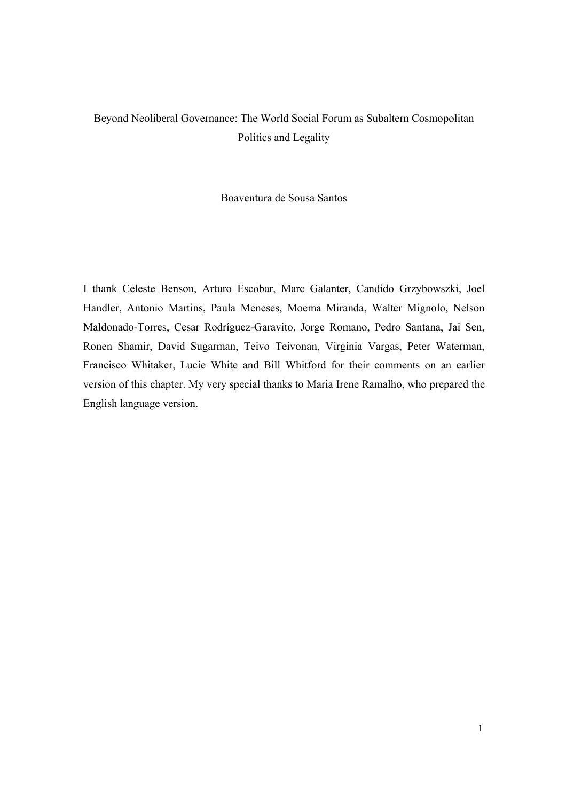# Beyond Neoliberal Governance: The World Social Forum as Subaltern Cosmopolitan Politics and Legality

# Boaventura de Sousa Santos

I thank Celeste Benson, Arturo Escobar, Marc Galanter, Candido Grzybowszki, Joel Handler, Antonio Martins, Paula Meneses, Moema Miranda, Walter Mignolo, Nelson Maldonado-Torres, Cesar Rodríguez-Garavito, Jorge Romano, Pedro Santana, Jai Sen, Ronen Shamir, David Sugarman, Teivo Teivonan, Virginia Vargas, Peter Waterman, Francisco Whitaker, Lucie White and Bill Whitford for their comments on an earlier version of this chapter. My very special thanks to Maria Irene Ramalho, who prepared the English language version.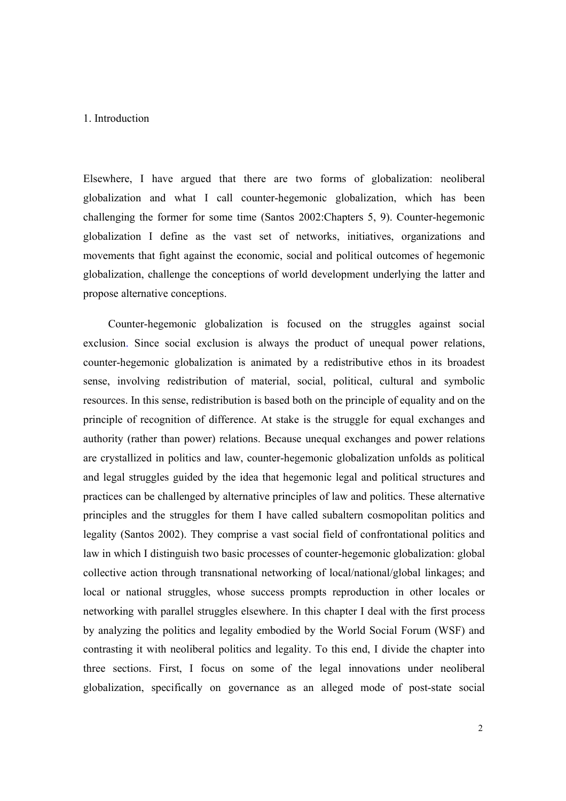#### 1. Introduction

Elsewhere, I have argued that there are two forms of globalization: neoliberal globalization and what I call counter-hegemonic globalization, which has been challenging the former for some time (Santos 2002:Chapters 5, 9). Counter-hegemonic globalization I define as the vast set of networks, initiatives, organizations and movements that fight against the economic, social and political outcomes of hegemonic globalization, challenge the conceptions of world development underlying the latter and propose alternative conceptions.

Counter-hegemonic globalization is focused on the struggles against social exclusion. Since social exclusion is always the product of unequal power relations, counter-hegemonic globalization is animated by a redistributive ethos in its broadest sense, involving redistribution of material, social, political, cultural and symbolic resources. In this sense, redistribution is based both on the principle of equality and on the principle of recognition of difference. At stake is the struggle for equal exchanges and authority (rather than power) relations. Because unequal exchanges and power relations are crystallized in politics and law, counter-hegemonic globalization unfolds as political and legal struggles guided by the idea that hegemonic legal and political structures and practices can be challenged by alternative principles of law and politics. These alternative principles and the struggles for them I have called subaltern cosmopolitan politics and legality (Santos 2002). They comprise a vast social field of confrontational politics and law in which I distinguish two basic processes of counter-hegemonic globalization: global collective action through transnational networking of local/national/global linkages; and local or national struggles, whose success prompts reproduction in other locales or networking with parallel struggles elsewhere. In this chapter I deal with the first process by analyzing the politics and legality embodied by the World Social Forum (WSF) and contrasting it with neoliberal politics and legality. To this end, I divide the chapter into three sections. First, I focus on some of the legal innovations under neoliberal globalization, specifically on governance as an alleged mode of post-state social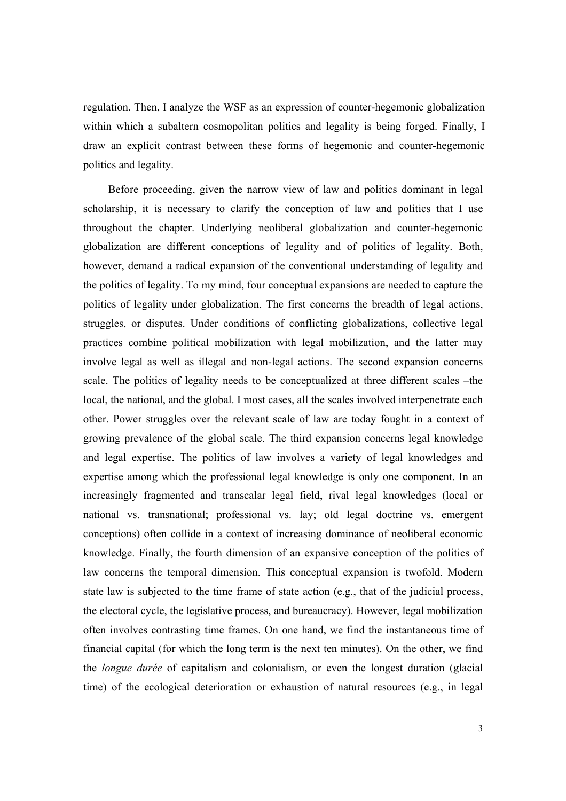regulation. Then, I analyze the WSF as an expression of counter-hegemonic globalization within which a subaltern cosmopolitan politics and legality is being forged. Finally, I draw an explicit contrast between these forms of hegemonic and counter-hegemonic politics and legality.

Before proceeding, given the narrow view of law and politics dominant in legal scholarship, it is necessary to clarify the conception of law and politics that I use throughout the chapter. Underlying neoliberal globalization and counter-hegemonic globalization are different conceptions of legality and of politics of legality. Both, however, demand a radical expansion of the conventional understanding of legality and the politics of legality. To my mind, four conceptual expansions are needed to capture the politics of legality under globalization. The first concerns the breadth of legal actions, struggles, or disputes. Under conditions of conflicting globalizations, collective legal practices combine political mobilization with legal mobilization, and the latter may involve legal as well as illegal and non-legal actions. The second expansion concerns scale. The politics of legality needs to be conceptualized at three different scales –the local, the national, and the global. I most cases, all the scales involved interpenetrate each other. Power struggles over the relevant scale of law are today fought in a context of growing prevalence of the global scale. The third expansion concerns legal knowledge and legal expertise. The politics of law involves a variety of legal knowledges and expertise among which the professional legal knowledge is only one component. In an increasingly fragmented and transcalar legal field, rival legal knowledges (local or national vs. transnational; professional vs. lay; old legal doctrine vs. emergent conceptions) often collide in a context of increasing dominance of neoliberal economic knowledge. Finally, the fourth dimension of an expansive conception of the politics of law concerns the temporal dimension. This conceptual expansion is twofold. Modern state law is subjected to the time frame of state action (e.g., that of the judicial process, the electoral cycle, the legislative process, and bureaucracy). However, legal mobilization often involves contrasting time frames. On one hand, we find the instantaneous time of financial capital (for which the long term is the next ten minutes). On the other, we find the *longue durée* of capitalism and colonialism, or even the longest duration (glacial time) of the ecological deterioration or exhaustion of natural resources (e.g., in legal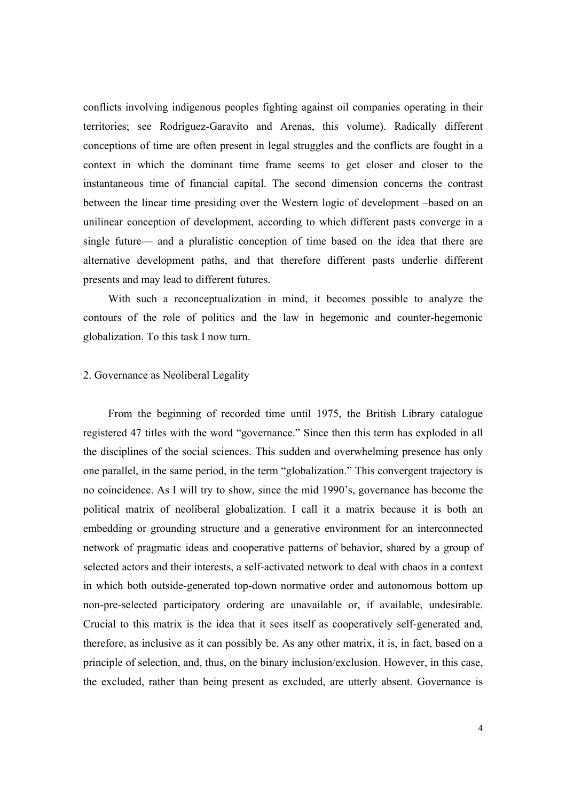conflicts involving indigenous peoples fighting against oil companies operating in their territories; see Rodríguez-Garavito and Arenas, this volume). Radically different conceptions of time are often present in legal struggles and the conflicts are fought in a context in which the dominant time frame seems to get closer and closer to the instantaneous time of financial capital. The second dimension concerns the contrast between the linear time presiding over the Western logic of development –based on an unilinear conception of development, according to which different pasts converge in a single future— and a pluralistic conception of time based on the idea that there are alternative development paths, and that therefore different pasts underlie different presents and may lead to different futures.

With such a reconceptualization in mind, it becomes possible to analyze the contours of the role of politics and the law in hegemonic and counter-hegemonic globalization. To this task I now turn.

## 2. Governance as Neoliberal Legality

From the beginning of recorded time until 1975, the British Library catalogue registered 47 titles with the word "governance." Since then this term has exploded in all the disciplines of the social sciences. This sudden and overwhelming presence has only one parallel, in the same period, in the term "globalization." This convergent trajectory is no coincidence. As I will try to show, since the mid 1990's, governance has become the political matrix of neoliberal globalization. I call it a matrix because it is both an embedding or grounding structure and a generative environment for an interconnected network of pragmatic ideas and cooperative patterns of behavior, shared by a group of selected actors and their interests, a self-activated network to deal with chaos in a context in which both outside-generated top-down normative order and autonomous bottom up non-pre-selected participatory ordering are unavailable or, if available, undesirable. Crucial to this matrix is the idea that it sees itself as cooperatively self-generated and, therefore, as inclusive as it can possibly be. As any other matrix, it is, in fact, based on a principle of selection, and, thus, on the binary inclusion/exclusion. However, in this case, the excluded, rather than being present as excluded, are utterly absent. Governance is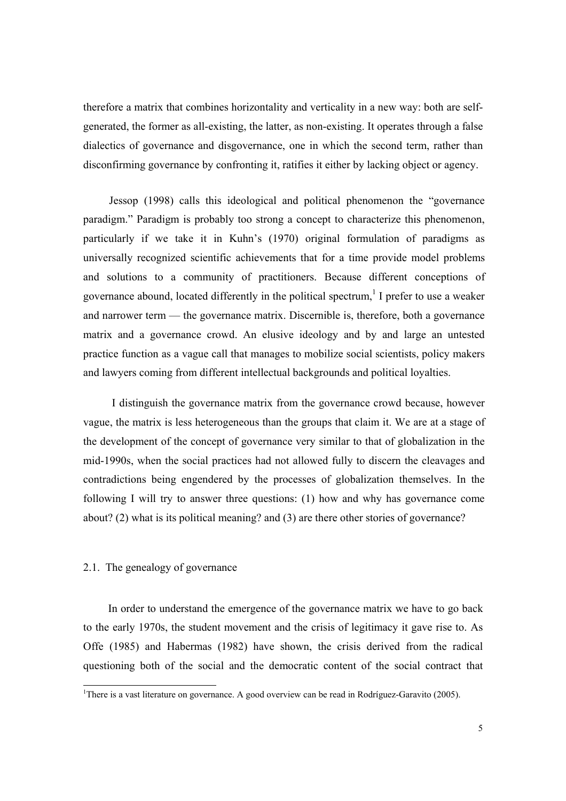therefore a matrix that combines horizontality and verticality in a new way: both are selfgenerated, the former as all-existing, the latter, as non-existing. It operates through a false dialectics of governance and disgovernance, one in which the second term, rather than disconfirming governance by confronting it, ratifies it either by lacking object or agency.

Jessop (1998) calls this ideological and political phenomenon the "governance paradigm." Paradigm is probably too strong a concept to characterize this phenomenon, particularly if we take it in Kuhn's (1970) original formulation of paradigms as universally recognized scientific achievements that for a time provide model problems and solutions to a community of practitioners. Because different conceptions of governance abound, located differently in the political spectrum,<sup>1</sup> I prefer to use a weaker and narrower term — the governance matrix. Discernible is, therefore, both a governance matrix and a governance crowd. An elusive ideology and by and large an untested practice function as a vague call that manages to mobilize social scientists, policy makers and lawyers coming from different intellectual backgrounds and political loyalties.

 I distinguish the governance matrix from the governance crowd because, however vague, the matrix is less heterogeneous than the groups that claim it. We are at a stage of the development of the concept of governance very similar to that of globalization in the mid-1990s, when the social practices had not allowed fully to discern the cleavages and contradictions being engendered by the processes of globalization themselves. In the following I will try to answer three questions: (1) how and why has governance come about? (2) what is its political meaning? and (3) are there other stories of governance?

# 2.1. The genealogy of governance

 $\overline{a}$ 

In order to understand the emergence of the governance matrix we have to go back to the early 1970s, the student movement and the crisis of legitimacy it gave rise to. As Offe (1985) and Habermas (1982) have shown, the crisis derived from the radical questioning both of the social and the democratic content of the social contract that

<sup>&</sup>lt;sup>1</sup>There is a vast literature on governance. A good overview can be read in Rodríguez-Garavito (2005).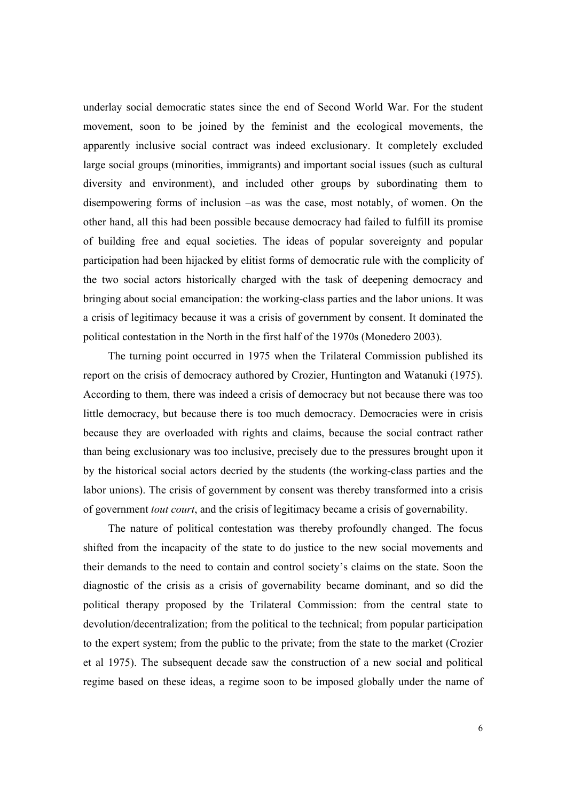underlay social democratic states since the end of Second World War. For the student movement, soon to be joined by the feminist and the ecological movements, the apparently inclusive social contract was indeed exclusionary. It completely excluded large social groups (minorities, immigrants) and important social issues (such as cultural diversity and environment), and included other groups by subordinating them to disempowering forms of inclusion –as was the case, most notably, of women. On the other hand, all this had been possible because democracy had failed to fulfill its promise of building free and equal societies. The ideas of popular sovereignty and popular participation had been hijacked by elitist forms of democratic rule with the complicity of the two social actors historically charged with the task of deepening democracy and bringing about social emancipation: the working-class parties and the labor unions. It was a crisis of legitimacy because it was a crisis of government by consent. It dominated the political contestation in the North in the first half of the 1970s (Monedero 2003).

The turning point occurred in 1975 when the Trilateral Commission published its report on the crisis of democracy authored by Crozier, Huntington and Watanuki (1975). According to them, there was indeed a crisis of democracy but not because there was too little democracy, but because there is too much democracy. Democracies were in crisis because they are overloaded with rights and claims, because the social contract rather than being exclusionary was too inclusive, precisely due to the pressures brought upon it by the historical social actors decried by the students (the working-class parties and the labor unions). The crisis of government by consent was thereby transformed into a crisis of government *tout court*, and the crisis of legitimacy became a crisis of governability.

The nature of political contestation was thereby profoundly changed. The focus shifted from the incapacity of the state to do justice to the new social movements and their demands to the need to contain and control society's claims on the state. Soon the diagnostic of the crisis as a crisis of governability became dominant, and so did the political therapy proposed by the Trilateral Commission: from the central state to devolution/decentralization; from the political to the technical; from popular participation to the expert system; from the public to the private; from the state to the market (Crozier et al 1975). The subsequent decade saw the construction of a new social and political regime based on these ideas, a regime soon to be imposed globally under the name of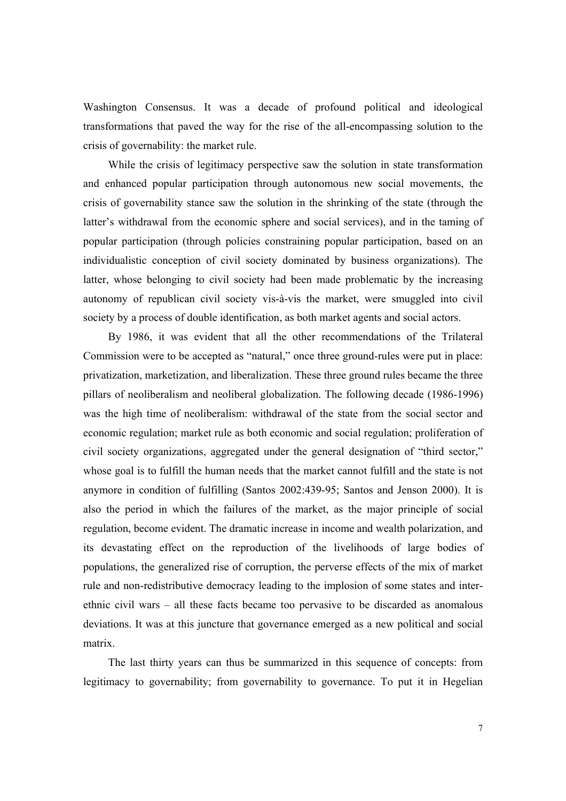Washington Consensus. It was a decade of profound political and ideological transformations that paved the way for the rise of the all-encompassing solution to the crisis of governability: the market rule.

While the crisis of legitimacy perspective saw the solution in state transformation and enhanced popular participation through autonomous new social movements, the crisis of governability stance saw the solution in the shrinking of the state (through the latter's withdrawal from the economic sphere and social services), and in the taming of popular participation (through policies constraining popular participation, based on an individualistic conception of civil society dominated by business organizations). The latter, whose belonging to civil society had been made problematic by the increasing autonomy of republican civil society vis-à-vis the market, were smuggled into civil society by a process of double identification, as both market agents and social actors.

By 1986, it was evident that all the other recommendations of the Trilateral Commission were to be accepted as "natural," once three ground-rules were put in place: privatization, marketization, and liberalization. These three ground rules became the three pillars of neoliberalism and neoliberal globalization. The following decade (1986-1996) was the high time of neoliberalism: withdrawal of the state from the social sector and economic regulation; market rule as both economic and social regulation; proliferation of civil society organizations, aggregated under the general designation of "third sector," whose goal is to fulfill the human needs that the market cannot fulfill and the state is not anymore in condition of fulfilling (Santos 2002:439-95; Santos and Jenson 2000). It is also the period in which the failures of the market, as the major principle of social regulation, become evident. The dramatic increase in income and wealth polarization, and its devastating effect on the reproduction of the livelihoods of large bodies of populations, the generalized rise of corruption, the perverse effects of the mix of market rule and non-redistributive democracy leading to the implosion of some states and interethnic civil wars – all these facts became too pervasive to be discarded as anomalous deviations. It was at this juncture that governance emerged as a new political and social matrix.

The last thirty years can thus be summarized in this sequence of concepts: from legitimacy to governability; from governability to governance. To put it in Hegelian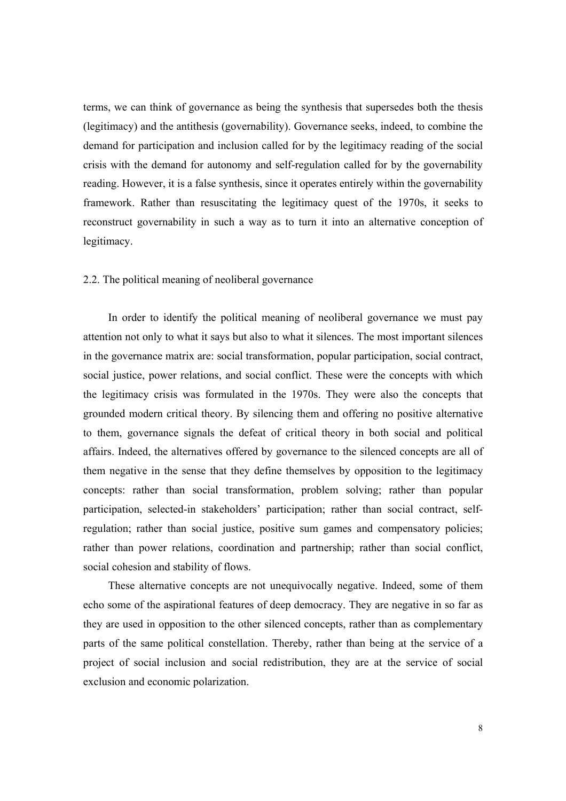terms, we can think of governance as being the synthesis that supersedes both the thesis (legitimacy) and the antithesis (governability). Governance seeks, indeed, to combine the demand for participation and inclusion called for by the legitimacy reading of the social crisis with the demand for autonomy and self-regulation called for by the governability reading. However, it is a false synthesis, since it operates entirely within the governability framework. Rather than resuscitating the legitimacy quest of the 1970s, it seeks to reconstruct governability in such a way as to turn it into an alternative conception of legitimacy.

#### 2.2. The political meaning of neoliberal governance

In order to identify the political meaning of neoliberal governance we must pay attention not only to what it says but also to what it silences. The most important silences in the governance matrix are: social transformation, popular participation, social contract, social justice, power relations, and social conflict. These were the concepts with which the legitimacy crisis was formulated in the 1970s. They were also the concepts that grounded modern critical theory. By silencing them and offering no positive alternative to them, governance signals the defeat of critical theory in both social and political affairs. Indeed, the alternatives offered by governance to the silenced concepts are all of them negative in the sense that they define themselves by opposition to the legitimacy concepts: rather than social transformation, problem solving; rather than popular participation, selected-in stakeholders' participation; rather than social contract, selfregulation; rather than social justice, positive sum games and compensatory policies; rather than power relations, coordination and partnership; rather than social conflict, social cohesion and stability of flows.

These alternative concepts are not unequivocally negative. Indeed, some of them echo some of the aspirational features of deep democracy. They are negative in so far as they are used in opposition to the other silenced concepts, rather than as complementary parts of the same political constellation. Thereby, rather than being at the service of a project of social inclusion and social redistribution, they are at the service of social exclusion and economic polarization.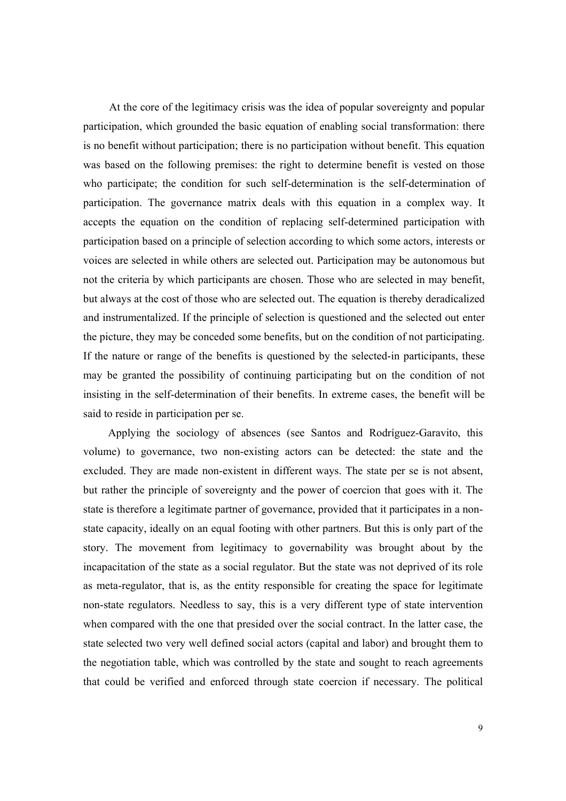At the core of the legitimacy crisis was the idea of popular sovereignty and popular participation, which grounded the basic equation of enabling social transformation: there is no benefit without participation; there is no participation without benefit. This equation was based on the following premises: the right to determine benefit is vested on those who participate; the condition for such self-determination is the self-determination of participation. The governance matrix deals with this equation in a complex way. It accepts the equation on the condition of replacing self-determined participation with participation based on a principle of selection according to which some actors, interests or voices are selected in while others are selected out. Participation may be autonomous but not the criteria by which participants are chosen. Those who are selected in may benefit, but always at the cost of those who are selected out. The equation is thereby deradicalized and instrumentalized. If the principle of selection is questioned and the selected out enter the picture, they may be conceded some benefits, but on the condition of not participating. If the nature or range of the benefits is questioned by the selected-in participants, these may be granted the possibility of continuing participating but on the condition of not insisting in the self-determination of their benefits. In extreme cases, the benefit will be said to reside in participation per se.

Applying the sociology of absences (see Santos and Rodríguez-Garavito, this volume) to governance, two non-existing actors can be detected: the state and the excluded. They are made non-existent in different ways. The state per se is not absent, but rather the principle of sovereignty and the power of coercion that goes with it. The state is therefore a legitimate partner of governance, provided that it participates in a nonstate capacity, ideally on an equal footing with other partners. But this is only part of the story. The movement from legitimacy to governability was brought about by the incapacitation of the state as a social regulator. But the state was not deprived of its role as meta-regulator, that is, as the entity responsible for creating the space for legitimate non-state regulators. Needless to say, this is a very different type of state intervention when compared with the one that presided over the social contract. In the latter case, the state selected two very well defined social actors (capital and labor) and brought them to the negotiation table, which was controlled by the state and sought to reach agreements that could be verified and enforced through state coercion if necessary. The political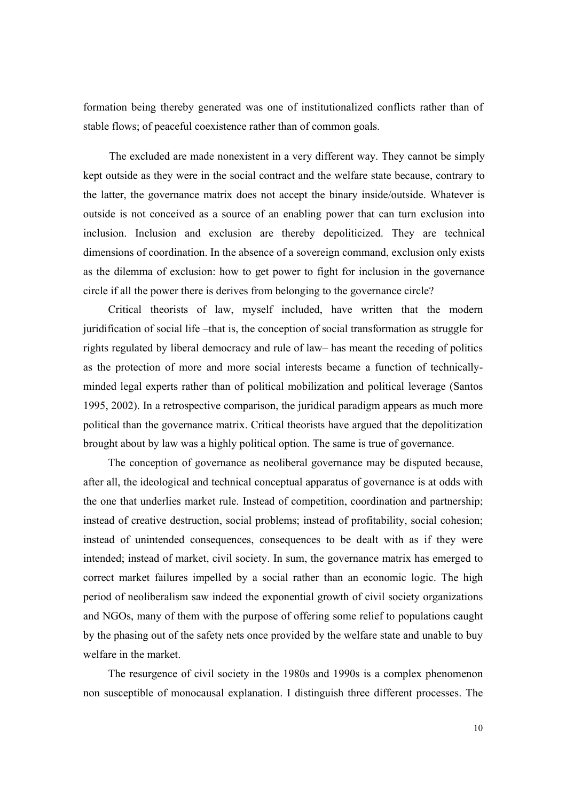formation being thereby generated was one of institutionalized conflicts rather than of stable flows; of peaceful coexistence rather than of common goals.

The excluded are made nonexistent in a very different way. They cannot be simply kept outside as they were in the social contract and the welfare state because, contrary to the latter, the governance matrix does not accept the binary inside/outside. Whatever is outside is not conceived as a source of an enabling power that can turn exclusion into inclusion. Inclusion and exclusion are thereby depoliticized. They are technical dimensions of coordination. In the absence of a sovereign command, exclusion only exists as the dilemma of exclusion: how to get power to fight for inclusion in the governance circle if all the power there is derives from belonging to the governance circle?

Critical theorists of law, myself included, have written that the modern juridification of social life –that is, the conception of social transformation as struggle for rights regulated by liberal democracy and rule of law– has meant the receding of politics as the protection of more and more social interests became a function of technicallyminded legal experts rather than of political mobilization and political leverage (Santos 1995, 2002). In a retrospective comparison, the juridical paradigm appears as much more political than the governance matrix. Critical theorists have argued that the depolitization brought about by law was a highly political option. The same is true of governance.

The conception of governance as neoliberal governance may be disputed because, after all, the ideological and technical conceptual apparatus of governance is at odds with the one that underlies market rule. Instead of competition, coordination and partnership; instead of creative destruction, social problems; instead of profitability, social cohesion; instead of unintended consequences, consequences to be dealt with as if they were intended; instead of market, civil society. In sum, the governance matrix has emerged to correct market failures impelled by a social rather than an economic logic. The high period of neoliberalism saw indeed the exponential growth of civil society organizations and NGOs, many of them with the purpose of offering some relief to populations caught by the phasing out of the safety nets once provided by the welfare state and unable to buy welfare in the market.

The resurgence of civil society in the 1980s and 1990s is a complex phenomenon non susceptible of monocausal explanation. I distinguish three different processes. The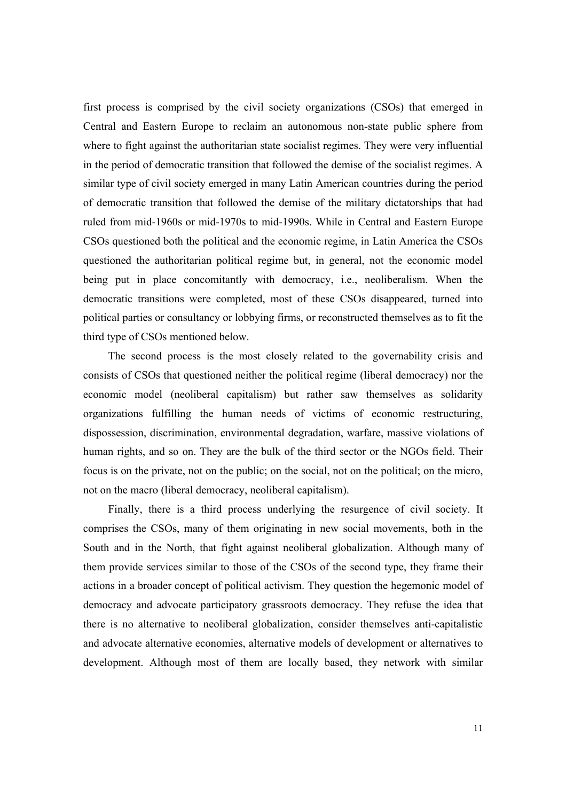first process is comprised by the civil society organizations (CSOs) that emerged in Central and Eastern Europe to reclaim an autonomous non-state public sphere from where to fight against the authoritarian state socialist regimes. They were very influential in the period of democratic transition that followed the demise of the socialist regimes. A similar type of civil society emerged in many Latin American countries during the period of democratic transition that followed the demise of the military dictatorships that had ruled from mid-1960s or mid-1970s to mid-1990s. While in Central and Eastern Europe CSOs questioned both the political and the economic regime, in Latin America the CSOs questioned the authoritarian political regime but, in general, not the economic model being put in place concomitantly with democracy, i.e., neoliberalism. When the democratic transitions were completed, most of these CSOs disappeared, turned into political parties or consultancy or lobbying firms, or reconstructed themselves as to fit the third type of CSOs mentioned below.

The second process is the most closely related to the governability crisis and consists of CSOs that questioned neither the political regime (liberal democracy) nor the economic model (neoliberal capitalism) but rather saw themselves as solidarity organizations fulfilling the human needs of victims of economic restructuring, dispossession, discrimination, environmental degradation, warfare, massive violations of human rights, and so on. They are the bulk of the third sector or the NGOs field. Their focus is on the private, not on the public; on the social, not on the political; on the micro, not on the macro (liberal democracy, neoliberal capitalism).

Finally, there is a third process underlying the resurgence of civil society. It comprises the CSOs, many of them originating in new social movements, both in the South and in the North, that fight against neoliberal globalization. Although many of them provide services similar to those of the CSOs of the second type, they frame their actions in a broader concept of political activism. They question the hegemonic model of democracy and advocate participatory grassroots democracy. They refuse the idea that there is no alternative to neoliberal globalization, consider themselves anti-capitalistic and advocate alternative economies, alternative models of development or alternatives to development. Although most of them are locally based, they network with similar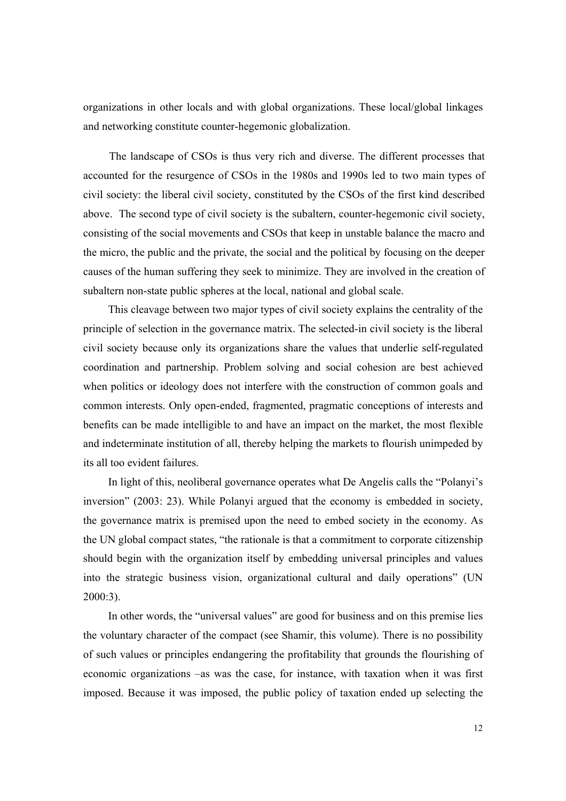organizations in other locals and with global organizations. These local/global linkages and networking constitute counter-hegemonic globalization.

The landscape of CSOs is thus very rich and diverse. The different processes that accounted for the resurgence of CSOs in the 1980s and 1990s led to two main types of civil society: the liberal civil society, constituted by the CSOs of the first kind described above. The second type of civil society is the subaltern, counter-hegemonic civil society, consisting of the social movements and CSOs that keep in unstable balance the macro and the micro, the public and the private, the social and the political by focusing on the deeper causes of the human suffering they seek to minimize. They are involved in the creation of subaltern non-state public spheres at the local, national and global scale.

This cleavage between two major types of civil society explains the centrality of the principle of selection in the governance matrix. The selected-in civil society is the liberal civil society because only its organizations share the values that underlie self-regulated coordination and partnership. Problem solving and social cohesion are best achieved when politics or ideology does not interfere with the construction of common goals and common interests. Only open-ended, fragmented, pragmatic conceptions of interests and benefits can be made intelligible to and have an impact on the market, the most flexible and indeterminate institution of all, thereby helping the markets to flourish unimpeded by its all too evident failures.

In light of this, neoliberal governance operates what De Angelis calls the "Polanyi's inversion" (2003: 23). While Polanyi argued that the economy is embedded in society, the governance matrix is premised upon the need to embed society in the economy. As the UN global compact states, "the rationale is that a commitment to corporate citizenship should begin with the organization itself by embedding universal principles and values into the strategic business vision, organizational cultural and daily operations" (UN 2000:3).

In other words, the "universal values" are good for business and on this premise lies the voluntary character of the compact (see Shamir, this volume). There is no possibility of such values or principles endangering the profitability that grounds the flourishing of economic organizations –as was the case, for instance, with taxation when it was first imposed. Because it was imposed, the public policy of taxation ended up selecting the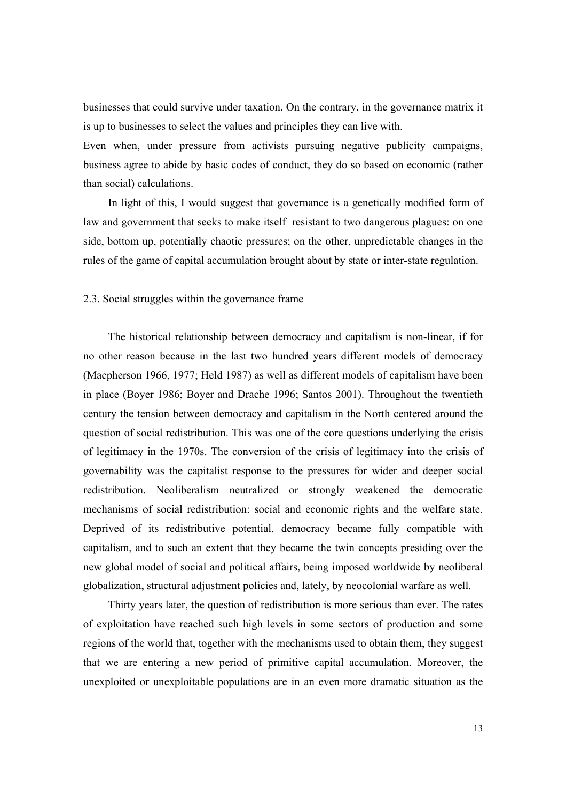businesses that could survive under taxation. On the contrary, in the governance matrix it is up to businesses to select the values and principles they can live with.

Even when, under pressure from activists pursuing negative publicity campaigns, business agree to abide by basic codes of conduct, they do so based on economic (rather than social) calculations.

In light of this, I would suggest that governance is a genetically modified form of law and government that seeks to make itself resistant to two dangerous plagues: on one side, bottom up, potentially chaotic pressures; on the other, unpredictable changes in the rules of the game of capital accumulation brought about by state or inter-state regulation.

2.3. Social struggles within the governance frame

The historical relationship between democracy and capitalism is non-linear, if for no other reason because in the last two hundred years different models of democracy (Macpherson 1966, 1977; Held 1987) as well as different models of capitalism have been in place (Boyer 1986; Boyer and Drache 1996; Santos 2001). Throughout the twentieth century the tension between democracy and capitalism in the North centered around the question of social redistribution. This was one of the core questions underlying the crisis of legitimacy in the 1970s. The conversion of the crisis of legitimacy into the crisis of governability was the capitalist response to the pressures for wider and deeper social redistribution. Neoliberalism neutralized or strongly weakened the democratic mechanisms of social redistribution: social and economic rights and the welfare state. Deprived of its redistributive potential, democracy became fully compatible with capitalism, and to such an extent that they became the twin concepts presiding over the new global model of social and political affairs, being imposed worldwide by neoliberal globalization, structural adjustment policies and, lately, by neocolonial warfare as well.

Thirty years later, the question of redistribution is more serious than ever. The rates of exploitation have reached such high levels in some sectors of production and some regions of the world that, together with the mechanisms used to obtain them, they suggest that we are entering a new period of primitive capital accumulation. Moreover, the unexploited or unexploitable populations are in an even more dramatic situation as the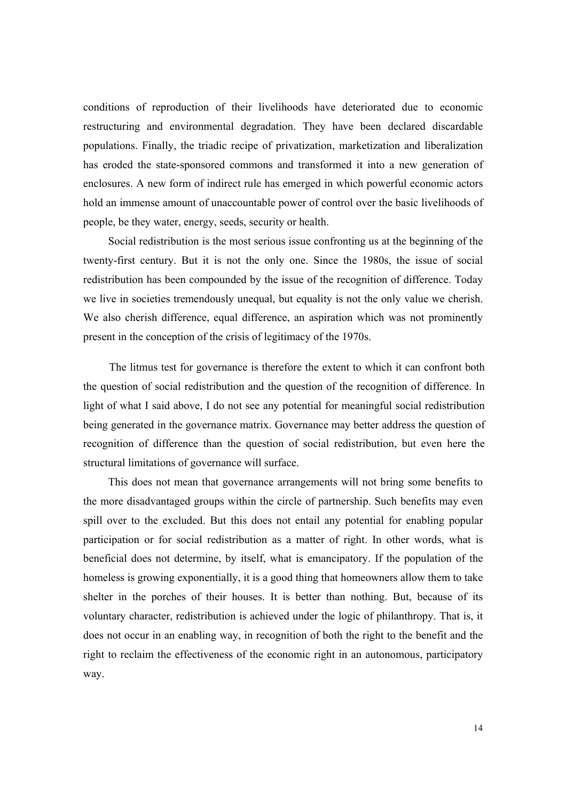conditions of reproduction of their livelihoods have deteriorated due to economic restructuring and environmental degradation. They have been declared discardable populations. Finally, the triadic recipe of privatization, marketization and liberalization has eroded the state-sponsored commons and transformed it into a new generation of enclosures. A new form of indirect rule has emerged in which powerful economic actors hold an immense amount of unaccountable power of control over the basic livelihoods of people, be they water, energy, seeds, security or health.

Social redistribution is the most serious issue confronting us at the beginning of the twenty-first century. But it is not the only one. Since the 1980s, the issue of social redistribution has been compounded by the issue of the recognition of difference. Today we live in societies tremendously unequal, but equality is not the only value we cherish. We also cherish difference, equal difference, an aspiration which was not prominently present in the conception of the crisis of legitimacy of the 1970s.

The litmus test for governance is therefore the extent to which it can confront both the question of social redistribution and the question of the recognition of difference. In light of what I said above, I do not see any potential for meaningful social redistribution being generated in the governance matrix. Governance may better address the question of recognition of difference than the question of social redistribution, but even here the structural limitations of governance will surface.

This does not mean that governance arrangements will not bring some benefits to the more disadvantaged groups within the circle of partnership. Such benefits may even spill over to the excluded. But this does not entail any potential for enabling popular participation or for social redistribution as a matter of right. In other words, what is beneficial does not determine, by itself, what is emancipatory. If the population of the homeless is growing exponentially, it is a good thing that homeowners allow them to take shelter in the porches of their houses. It is better than nothing. But, because of its voluntary character, redistribution is achieved under the logic of philanthropy. That is, it does not occur in an enabling way, in recognition of both the right to the benefit and the right to reclaim the effectiveness of the economic right in an autonomous, participatory way.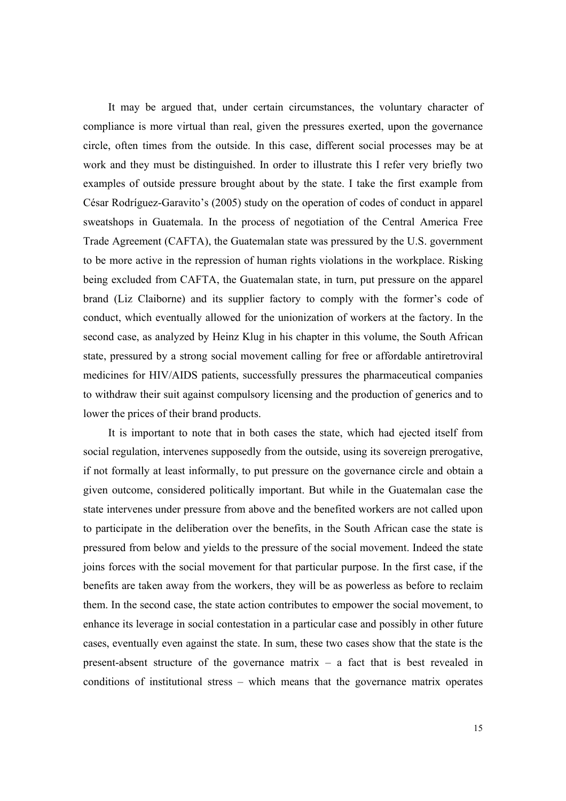It may be argued that, under certain circumstances, the voluntary character of compliance is more virtual than real, given the pressures exerted, upon the governance circle, often times from the outside. In this case, different social processes may be at work and they must be distinguished. In order to illustrate this I refer very briefly two examples of outside pressure brought about by the state. I take the first example from César Rodríguez-Garavito's (2005) study on the operation of codes of conduct in apparel sweatshops in Guatemala. In the process of negotiation of the Central America Free Trade Agreement (CAFTA), the Guatemalan state was pressured by the U.S. government to be more active in the repression of human rights violations in the workplace. Risking being excluded from CAFTA, the Guatemalan state, in turn, put pressure on the apparel brand (Liz Claiborne) and its supplier factory to comply with the former's code of conduct, which eventually allowed for the unionization of workers at the factory. In the second case, as analyzed by Heinz Klug in his chapter in this volume, the South African state, pressured by a strong social movement calling for free or affordable antiretroviral medicines for HIV/AIDS patients, successfully pressures the pharmaceutical companies to withdraw their suit against compulsory licensing and the production of generics and to lower the prices of their brand products.

It is important to note that in both cases the state, which had ejected itself from social regulation, intervenes supposedly from the outside, using its sovereign prerogative, if not formally at least informally, to put pressure on the governance circle and obtain a given outcome, considered politically important. But while in the Guatemalan case the state intervenes under pressure from above and the benefited workers are not called upon to participate in the deliberation over the benefits, in the South African case the state is pressured from below and yields to the pressure of the social movement. Indeed the state joins forces with the social movement for that particular purpose. In the first case, if the benefits are taken away from the workers, they will be as powerless as before to reclaim them. In the second case, the state action contributes to empower the social movement, to enhance its leverage in social contestation in a particular case and possibly in other future cases, eventually even against the state. In sum, these two cases show that the state is the present-absent structure of the governance matrix  $-$  a fact that is best revealed in conditions of institutional stress – which means that the governance matrix operates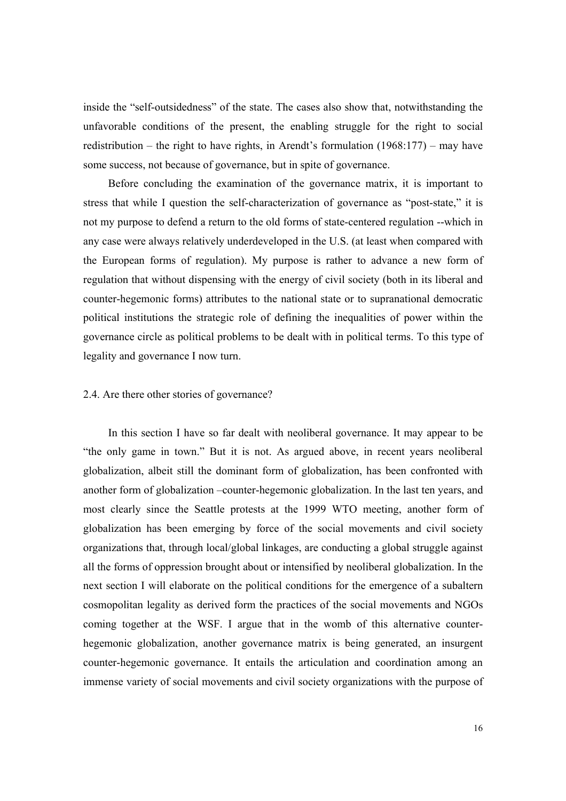inside the "self-outsidedness" of the state. The cases also show that, notwithstanding the unfavorable conditions of the present, the enabling struggle for the right to social redistribution – the right to have rights, in Arendt's formulation  $(1968:177)$  – may have some success, not because of governance, but in spite of governance.

Before concluding the examination of the governance matrix, it is important to stress that while I question the self-characterization of governance as "post-state," it is not my purpose to defend a return to the old forms of state-centered regulation --which in any case were always relatively underdeveloped in the U.S. (at least when compared with the European forms of regulation). My purpose is rather to advance a new form of regulation that without dispensing with the energy of civil society (both in its liberal and counter-hegemonic forms) attributes to the national state or to supranational democratic political institutions the strategic role of defining the inequalities of power within the governance circle as political problems to be dealt with in political terms. To this type of legality and governance I now turn.

#### 2.4. Are there other stories of governance?

In this section I have so far dealt with neoliberal governance. It may appear to be "the only game in town." But it is not. As argued above, in recent years neoliberal globalization, albeit still the dominant form of globalization, has been confronted with another form of globalization –counter-hegemonic globalization. In the last ten years, and most clearly since the Seattle protests at the 1999 WTO meeting, another form of globalization has been emerging by force of the social movements and civil society organizations that, through local/global linkages, are conducting a global struggle against all the forms of oppression brought about or intensified by neoliberal globalization. In the next section I will elaborate on the political conditions for the emergence of a subaltern cosmopolitan legality as derived form the practices of the social movements and NGOs coming together at the WSF. I argue that in the womb of this alternative counterhegemonic globalization, another governance matrix is being generated, an insurgent counter-hegemonic governance. It entails the articulation and coordination among an immense variety of social movements and civil society organizations with the purpose of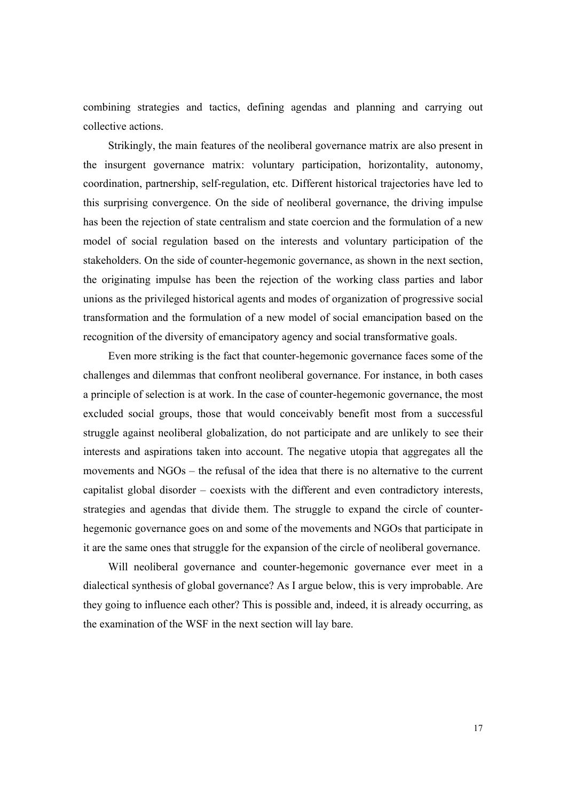combining strategies and tactics, defining agendas and planning and carrying out collective actions.

Strikingly, the main features of the neoliberal governance matrix are also present in the insurgent governance matrix: voluntary participation, horizontality, autonomy, coordination, partnership, self-regulation, etc. Different historical trajectories have led to this surprising convergence. On the side of neoliberal governance, the driving impulse has been the rejection of state centralism and state coercion and the formulation of a new model of social regulation based on the interests and voluntary participation of the stakeholders. On the side of counter-hegemonic governance, as shown in the next section, the originating impulse has been the rejection of the working class parties and labor unions as the privileged historical agents and modes of organization of progressive social transformation and the formulation of a new model of social emancipation based on the recognition of the diversity of emancipatory agency and social transformative goals.

Even more striking is the fact that counter-hegemonic governance faces some of the challenges and dilemmas that confront neoliberal governance. For instance, in both cases a principle of selection is at work. In the case of counter-hegemonic governance, the most excluded social groups, those that would conceivably benefit most from a successful struggle against neoliberal globalization, do not participate and are unlikely to see their interests and aspirations taken into account. The negative utopia that aggregates all the movements and NGOs – the refusal of the idea that there is no alternative to the current capitalist global disorder – coexists with the different and even contradictory interests, strategies and agendas that divide them. The struggle to expand the circle of counterhegemonic governance goes on and some of the movements and NGOs that participate in it are the same ones that struggle for the expansion of the circle of neoliberal governance.

Will neoliberal governance and counter-hegemonic governance ever meet in a dialectical synthesis of global governance? As I argue below, this is very improbable. Are they going to influence each other? This is possible and, indeed, it is already occurring, as the examination of the WSF in the next section will lay bare.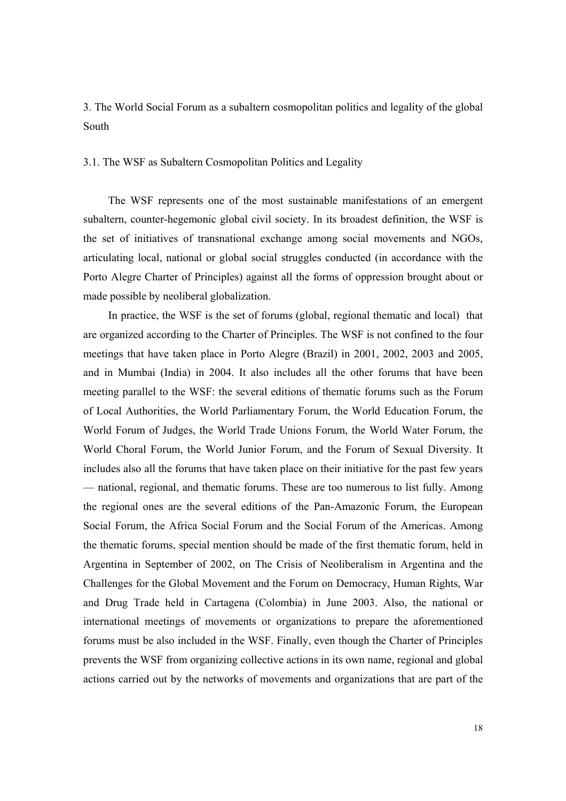3. The World Social Forum as a subaltern cosmopolitan politics and legality of the global South

## 3.1. The WSF as Subaltern Cosmopolitan Politics and Legality

The WSF represents one of the most sustainable manifestations of an emergent subaltern, counter-hegemonic global civil society. In its broadest definition, the WSF is the set of initiatives of transnational exchange among social movements and NGOs, articulating local, national or global social struggles conducted (in accordance with the Porto Alegre Charter of Principles) against all the forms of oppression brought about or made possible by neoliberal globalization.

In practice, the WSF is the set of forums (global, regional thematic and local) that are organized according to the Charter of Principles. The WSF is not confined to the four meetings that have taken place in Porto Alegre (Brazil) in 2001, 2002, 2003 and 2005, and in Mumbai (India) in 2004. It also includes all the other forums that have been meeting parallel to the WSF: the several editions of thematic forums such as the Forum of Local Authorities, the World Parliamentary Forum, the World Education Forum, the World Forum of Judges, the World Trade Unions Forum, the World Water Forum, the World Choral Forum, the World Junior Forum, and the Forum of Sexual Diversity. It includes also all the forums that have taken place on their initiative for the past few years — national, regional, and thematic forums. These are too numerous to list fully. Among the regional ones are the several editions of the Pan-Amazonic Forum, the European Social Forum, the Africa Social Forum and the Social Forum of the Americas. Among the thematic forums, special mention should be made of the first thematic forum, held in Argentina in September of 2002, on The Crisis of Neoliberalism in Argentina and the Challenges for the Global Movement and the Forum on Democracy, Human Rights, War and Drug Trade held in Cartagena (Colombia) in June 2003. Also, the national or international meetings of movements or organizations to prepare the aforementioned forums must be also included in the WSF. Finally, even though the Charter of Principles prevents the WSF from organizing collective actions in its own name, regional and global actions carried out by the networks of movements and organizations that are part of the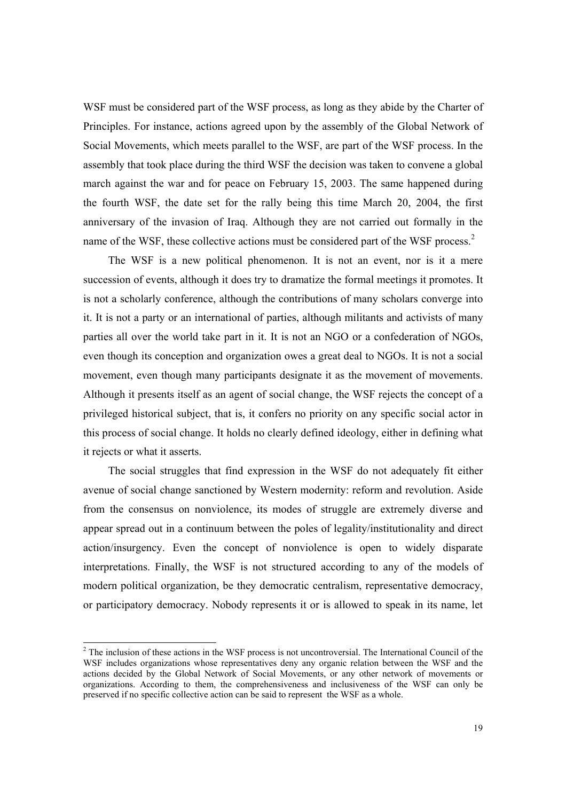WSF must be considered part of the WSF process, as long as they abide by the Charter of Principles. For instance, actions agreed upon by the assembly of the Global Network of Social Movements, which meets parallel to the WSF, are part of the WSF process. In the assembly that took place during the third WSF the decision was taken to convene a global march against the war and for peace on February 15, 2003. The same happened during the fourth WSF, the date set for the rally being this time March 20, 2004, the first anniversary of the invasion of Iraq. Although they are not carried out formally in the name of the WSF, these collective actions must be considered part of the WSF process.<sup>2</sup>

The WSF is a new political phenomenon. It is not an event, nor is it a mere succession of events, although it does try to dramatize the formal meetings it promotes. It is not a scholarly conference, although the contributions of many scholars converge into it. It is not a party or an international of parties, although militants and activists of many parties all over the world take part in it. It is not an NGO or a confederation of NGOs, even though its conception and organization owes a great deal to NGOs. It is not a social movement, even though many participants designate it as the movement of movements. Although it presents itself as an agent of social change, the WSF rejects the concept of a privileged historical subject, that is, it confers no priority on any specific social actor in this process of social change. It holds no clearly defined ideology, either in defining what it rejects or what it asserts.

The social struggles that find expression in the WSF do not adequately fit either avenue of social change sanctioned by Western modernity: reform and revolution. Aside from the consensus on nonviolence, its modes of struggle are extremely diverse and appear spread out in a continuum between the poles of legality/institutionality and direct action/insurgency. Even the concept of nonviolence is open to widely disparate interpretations. Finally, the WSF is not structured according to any of the models of modern political organization, be they democratic centralism, representative democracy, or participatory democracy. Nobody represents it or is allowed to speak in its name, let

<sup>&</sup>lt;sup>2</sup> The inclusion of these actions in the WSF process is not uncontroversial. The International Council of the WSF includes organizations whose representatives deny any organic relation between the WSF and the actions decided by the Global Network of Social Movements, or any other network of movements or organizations. According to them, the comprehensiveness and inclusiveness of the WSF can only be preserved if no specific collective action can be said to represent the WSF as a whole.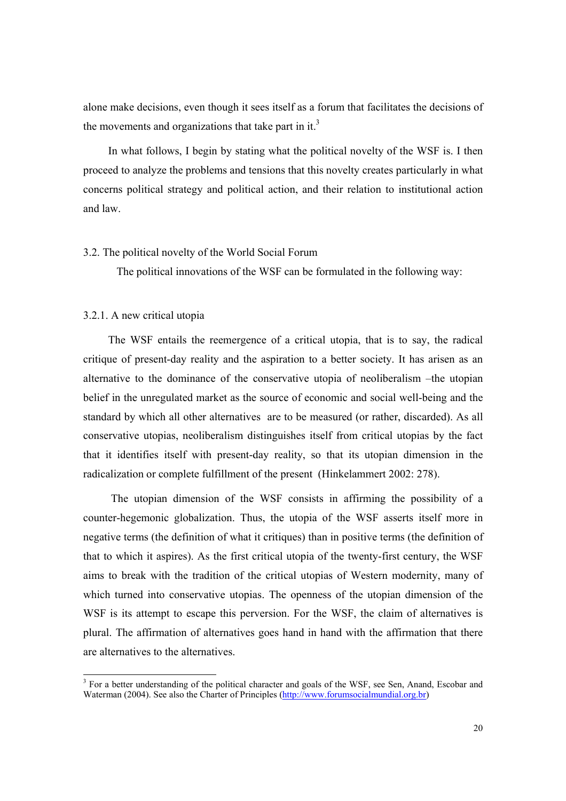alone make decisions, even though it sees itself as a forum that facilitates the decisions of the movements and organizations that take part in it.<sup>3</sup>

In what follows, I begin by stating what the political novelty of the WSF is. I then proceed to analyze the problems and tensions that this novelty creates particularly in what concerns political strategy and political action, and their relation to institutional action and law.

#### 3.2. The political novelty of the World Social Forum

The political innovations of the WSF can be formulated in the following way:

#### 3.2.1. A new critical utopia

 $\overline{a}$ 

The WSF entails the reemergence of a critical utopia, that is to say, the radical critique of present-day reality and the aspiration to a better society. It has arisen as an alternative to the dominance of the conservative utopia of neoliberalism –the utopian belief in the unregulated market as the source of economic and social well-being and the standard by which all other alternatives are to be measured (or rather, discarded). As all conservative utopias, neoliberalism distinguishes itself from critical utopias by the fact that it identifies itself with present-day reality, so that its utopian dimension in the radicalization or complete fulfillment of the present (Hinkelammert 2002: 278).

 The utopian dimension of the WSF consists in affirming the possibility of a counter-hegemonic globalization. Thus, the utopia of the WSF asserts itself more in negative terms (the definition of what it critiques) than in positive terms (the definition of that to which it aspires). As the first critical utopia of the twenty-first century, the WSF aims to break with the tradition of the critical utopias of Western modernity, many of which turned into conservative utopias. The openness of the utopian dimension of the WSF is its attempt to escape this perversion. For the WSF, the claim of alternatives is plural. The affirmation of alternatives goes hand in hand with the affirmation that there are alternatives to the alternatives.

<sup>&</sup>lt;sup>3</sup> For a better understanding of the political character and goals of the WSF, see Sen, Anand, Escobar and Waterman (2004). See also the Charter of Principles (http://www.forumsocialmundial.org.br)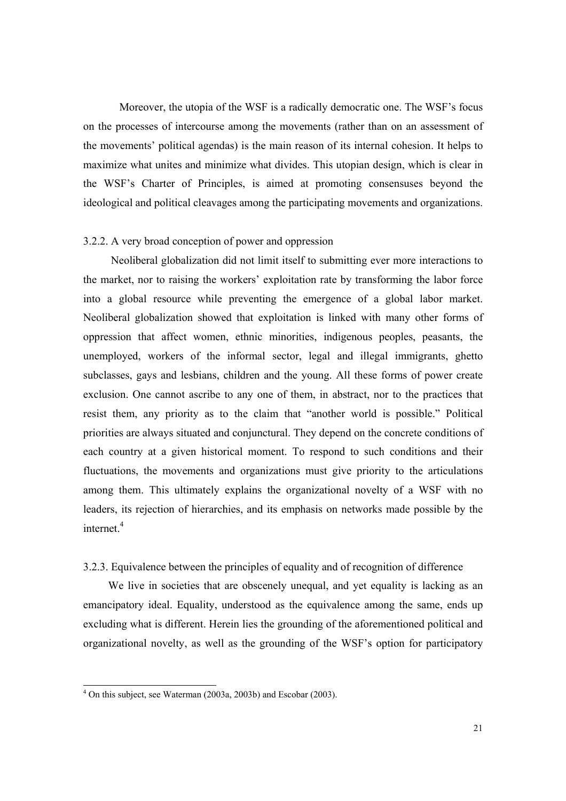Moreover, the utopia of the WSF is a radically democratic one. The WSF's focus on the processes of intercourse among the movements (rather than on an assessment of the movements' political agendas) is the main reason of its internal cohesion. It helps to maximize what unites and minimize what divides. This utopian design, which is clear in the WSF's Charter of Principles, is aimed at promoting consensuses beyond the ideological and political cleavages among the participating movements and organizations.

#### 3.2.2. A very broad conception of power and oppression

 Neoliberal globalization did not limit itself to submitting ever more interactions to the market, nor to raising the workers' exploitation rate by transforming the labor force into a global resource while preventing the emergence of a global labor market. Neoliberal globalization showed that exploitation is linked with many other forms of oppression that affect women, ethnic minorities, indigenous peoples, peasants, the unemployed, workers of the informal sector, legal and illegal immigrants, ghetto subclasses, gays and lesbians, children and the young. All these forms of power create exclusion. One cannot ascribe to any one of them, in abstract, nor to the practices that resist them, any priority as to the claim that "another world is possible." Political priorities are always situated and conjunctural. They depend on the concrete conditions of each country at a given historical moment. To respond to such conditions and their fluctuations, the movements and organizations must give priority to the articulations among them. This ultimately explains the organizational novelty of a WSF with no leaders, its rejection of hierarchies, and its emphasis on networks made possible by the internet.<sup>4</sup>

## 3.2.3. Equivalence between the principles of equality and of recognition of difference

We live in societies that are obscenely unequal, and yet equality is lacking as an emancipatory ideal. Equality, understood as the equivalence among the same, ends up excluding what is different. Herein lies the grounding of the aforementioned political and organizational novelty, as well as the grounding of the WSF's option for participatory

 4 On this subject, see Waterman (2003a, 2003b) and Escobar (2003).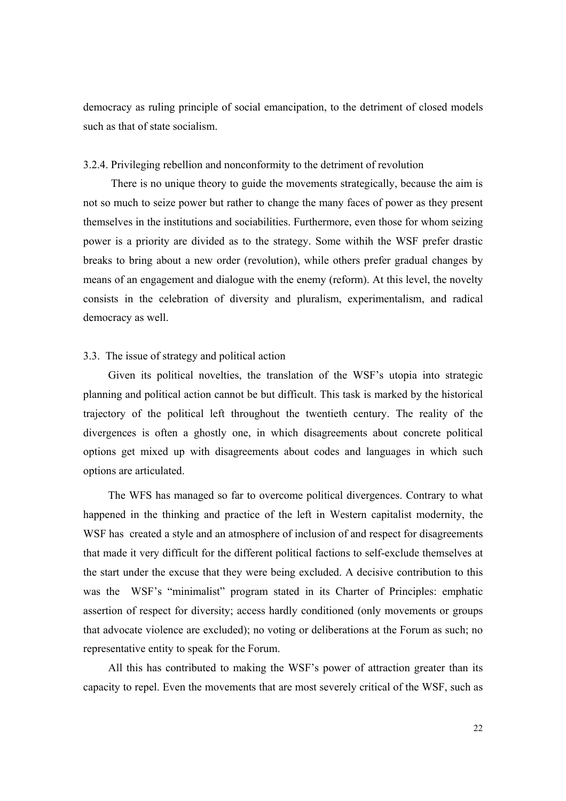democracy as ruling principle of social emancipation, to the detriment of closed models such as that of state socialism.

#### 3.2.4. Privileging rebellion and nonconformity to the detriment of revolution

 There is no unique theory to guide the movements strategically, because the aim is not so much to seize power but rather to change the many faces of power as they present themselves in the institutions and sociabilities. Furthermore, even those for whom seizing power is a priority are divided as to the strategy. Some withih the WSF prefer drastic breaks to bring about a new order (revolution), while others prefer gradual changes by means of an engagement and dialogue with the enemy (reform). At this level, the novelty consists in the celebration of diversity and pluralism, experimentalism, and radical democracy as well.

## 3.3. The issue of strategy and political action

Given its political novelties, the translation of the WSF's utopia into strategic planning and political action cannot be but difficult. This task is marked by the historical trajectory of the political left throughout the twentieth century. The reality of the divergences is often a ghostly one, in which disagreements about concrete political options get mixed up with disagreements about codes and languages in which such options are articulated.

The WFS has managed so far to overcome political divergences. Contrary to what happened in the thinking and practice of the left in Western capitalist modernity, the WSF has created a style and an atmosphere of inclusion of and respect for disagreements that made it very difficult for the different political factions to self-exclude themselves at the start under the excuse that they were being excluded. A decisive contribution to this was the WSF's "minimalist" program stated in its Charter of Principles: emphatic assertion of respect for diversity; access hardly conditioned (only movements or groups that advocate violence are excluded); no voting or deliberations at the Forum as such; no representative entity to speak for the Forum.

All this has contributed to making the WSF's power of attraction greater than its capacity to repel. Even the movements that are most severely critical of the WSF, such as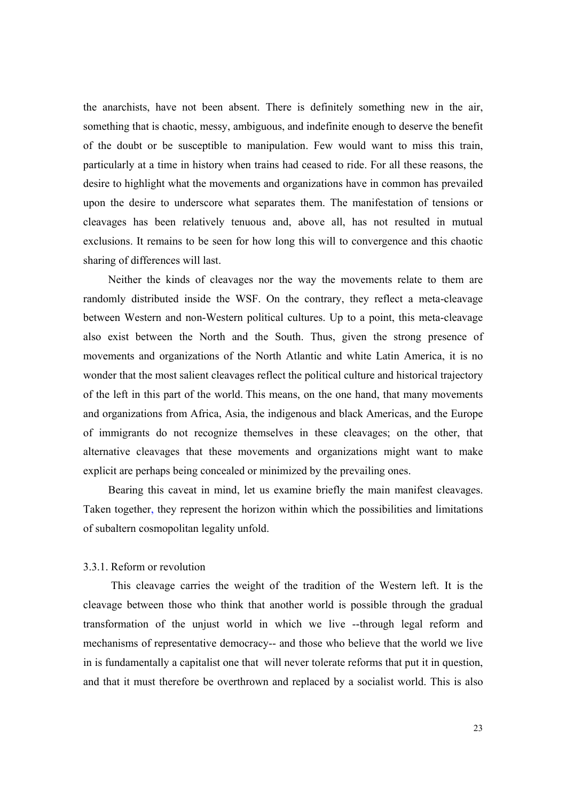the anarchists, have not been absent. There is definitely something new in the air, something that is chaotic, messy, ambiguous, and indefinite enough to deserve the benefit of the doubt or be susceptible to manipulation. Few would want to miss this train, particularly at a time in history when trains had ceased to ride. For all these reasons, the desire to highlight what the movements and organizations have in common has prevailed upon the desire to underscore what separates them. The manifestation of tensions or cleavages has been relatively tenuous and, above all, has not resulted in mutual exclusions. It remains to be seen for how long this will to convergence and this chaotic sharing of differences will last.

Neither the kinds of cleavages nor the way the movements relate to them are randomly distributed inside the WSF. On the contrary, they reflect a meta-cleavage between Western and non-Western political cultures. Up to a point, this meta-cleavage also exist between the North and the South. Thus, given the strong presence of movements and organizations of the North Atlantic and white Latin America, it is no wonder that the most salient cleavages reflect the political culture and historical trajectory of the left in this part of the world. This means, on the one hand, that many movements and organizations from Africa, Asia, the indigenous and black Americas, and the Europe of immigrants do not recognize themselves in these cleavages; on the other, that alternative cleavages that these movements and organizations might want to make explicit are perhaps being concealed or minimized by the prevailing ones.

Bearing this caveat in mind, let us examine briefly the main manifest cleavages. Taken together, they represent the horizon within which the possibilities and limitations of subaltern cosmopolitan legality unfold.

# 3.3.1. Reform or revolution

 This cleavage carries the weight of the tradition of the Western left. It is the cleavage between those who think that another world is possible through the gradual transformation of the unjust world in which we live --through legal reform and mechanisms of representative democracy-- and those who believe that the world we live in is fundamentally a capitalist one that will never tolerate reforms that put it in question, and that it must therefore be overthrown and replaced by a socialist world. This is also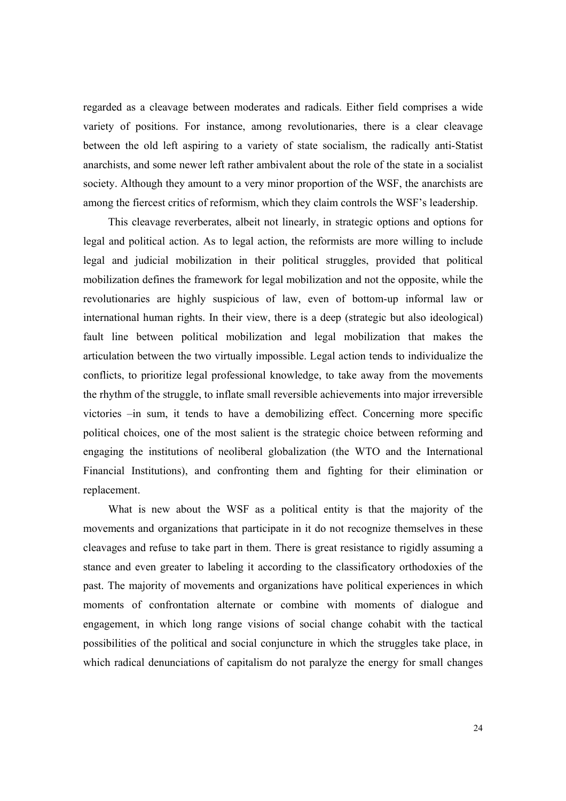regarded as a cleavage between moderates and radicals. Either field comprises a wide variety of positions. For instance, among revolutionaries, there is a clear cleavage between the old left aspiring to a variety of state socialism, the radically anti-Statist anarchists, and some newer left rather ambivalent about the role of the state in a socialist society. Although they amount to a very minor proportion of the WSF, the anarchists are among the fiercest critics of reformism, which they claim controls the WSF's leadership.

This cleavage reverberates, albeit not linearly, in strategic options and options for legal and political action. As to legal action, the reformists are more willing to include legal and judicial mobilization in their political struggles, provided that political mobilization defines the framework for legal mobilization and not the opposite, while the revolutionaries are highly suspicious of law, even of bottom-up informal law or international human rights. In their view, there is a deep (strategic but also ideological) fault line between political mobilization and legal mobilization that makes the articulation between the two virtually impossible. Legal action tends to individualize the conflicts, to prioritize legal professional knowledge, to take away from the movements the rhythm of the struggle, to inflate small reversible achievements into major irreversible victories –in sum, it tends to have a demobilizing effect. Concerning more specific political choices, one of the most salient is the strategic choice between reforming and engaging the institutions of neoliberal globalization (the WTO and the International Financial Institutions), and confronting them and fighting for their elimination or replacement.

What is new about the WSF as a political entity is that the majority of the movements and organizations that participate in it do not recognize themselves in these cleavages and refuse to take part in them. There is great resistance to rigidly assuming a stance and even greater to labeling it according to the classificatory orthodoxies of the past. The majority of movements and organizations have political experiences in which moments of confrontation alternate or combine with moments of dialogue and engagement, in which long range visions of social change cohabit with the tactical possibilities of the political and social conjuncture in which the struggles take place, in which radical denunciations of capitalism do not paralyze the energy for small changes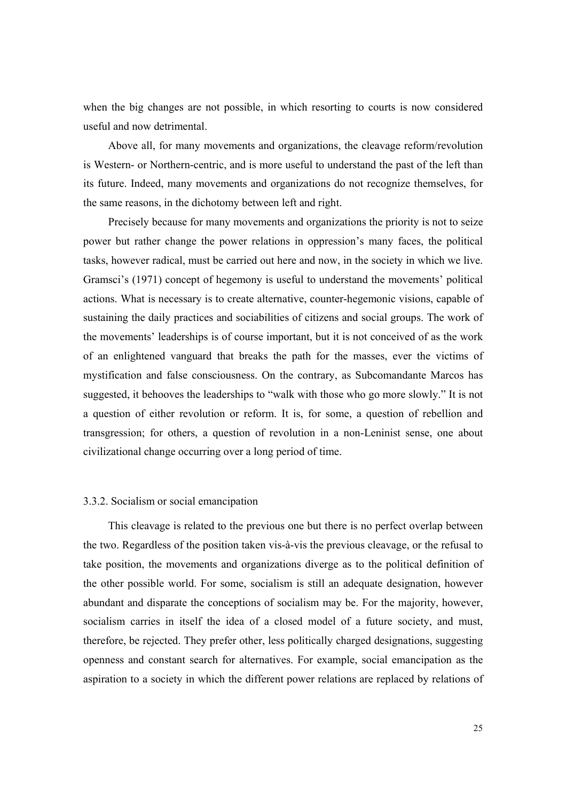when the big changes are not possible, in which resorting to courts is now considered useful and now detrimental.

Above all, for many movements and organizations, the cleavage reform/revolution is Western- or Northern-centric, and is more useful to understand the past of the left than its future. Indeed, many movements and organizations do not recognize themselves, for the same reasons, in the dichotomy between left and right.

Precisely because for many movements and organizations the priority is not to seize power but rather change the power relations in oppression's many faces, the political tasks, however radical, must be carried out here and now, in the society in which we live. Gramsci's (1971) concept of hegemony is useful to understand the movements' political actions. What is necessary is to create alternative, counter-hegemonic visions, capable of sustaining the daily practices and sociabilities of citizens and social groups. The work of the movements' leaderships is of course important, but it is not conceived of as the work of an enlightened vanguard that breaks the path for the masses, ever the victims of mystification and false consciousness. On the contrary, as Subcomandante Marcos has suggested, it behooves the leaderships to "walk with those who go more slowly." It is not a question of either revolution or reform. It is, for some, a question of rebellion and transgression; for others, a question of revolution in a non-Leninist sense, one about civilizational change occurring over a long period of time.

#### 3.3.2. Socialism or social emancipation

This cleavage is related to the previous one but there is no perfect overlap between the two. Regardless of the position taken vis-à-vis the previous cleavage, or the refusal to take position, the movements and organizations diverge as to the political definition of the other possible world. For some, socialism is still an adequate designation, however abundant and disparate the conceptions of socialism may be. For the majority, however, socialism carries in itself the idea of a closed model of a future society, and must, therefore, be rejected. They prefer other, less politically charged designations, suggesting openness and constant search for alternatives. For example, social emancipation as the aspiration to a society in which the different power relations are replaced by relations of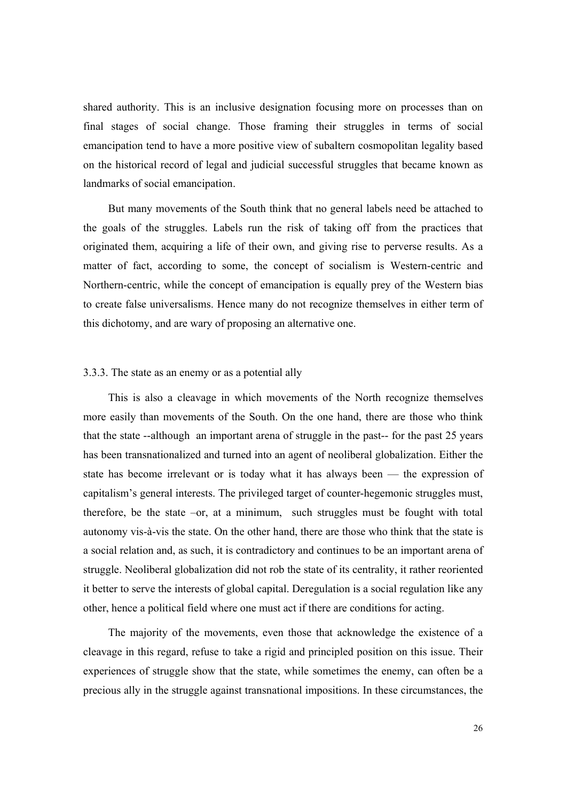shared authority. This is an inclusive designation focusing more on processes than on final stages of social change. Those framing their struggles in terms of social emancipation tend to have a more positive view of subaltern cosmopolitan legality based on the historical record of legal and judicial successful struggles that became known as landmarks of social emancipation.

But many movements of the South think that no general labels need be attached to the goals of the struggles. Labels run the risk of taking off from the practices that originated them, acquiring a life of their own, and giving rise to perverse results. As a matter of fact, according to some, the concept of socialism is Western-centric and Northern-centric, while the concept of emancipation is equally prey of the Western bias to create false universalisms. Hence many do not recognize themselves in either term of this dichotomy, and are wary of proposing an alternative one.

#### 3.3.3. The state as an enemy or as a potential ally

This is also a cleavage in which movements of the North recognize themselves more easily than movements of the South. On the one hand, there are those who think that the state --although an important arena of struggle in the past-- for the past 25 years has been transnationalized and turned into an agent of neoliberal globalization. Either the state has become irrelevant or is today what it has always been — the expression of capitalism's general interests. The privileged target of counter-hegemonic struggles must, therefore, be the state –or, at a minimum, such struggles must be fought with total autonomy vis-à-vis the state. On the other hand, there are those who think that the state is a social relation and, as such, it is contradictory and continues to be an important arena of struggle. Neoliberal globalization did not rob the state of its centrality, it rather reoriented it better to serve the interests of global capital. Deregulation is a social regulation like any other, hence a political field where one must act if there are conditions for acting.

The majority of the movements, even those that acknowledge the existence of a cleavage in this regard, refuse to take a rigid and principled position on this issue. Their experiences of struggle show that the state, while sometimes the enemy, can often be a precious ally in the struggle against transnational impositions. In these circumstances, the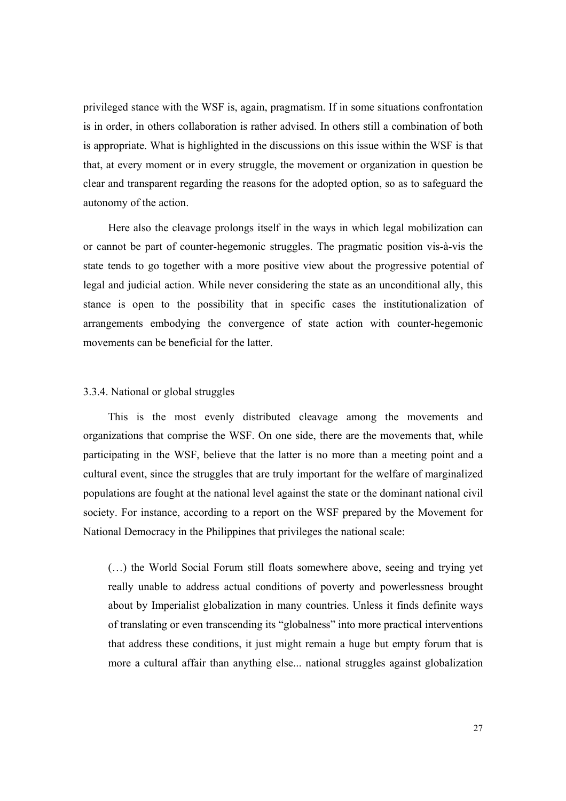privileged stance with the WSF is, again, pragmatism. If in some situations confrontation is in order, in others collaboration is rather advised. In others still a combination of both is appropriate. What is highlighted in the discussions on this issue within the WSF is that that, at every moment or in every struggle, the movement or organization in question be clear and transparent regarding the reasons for the adopted option, so as to safeguard the autonomy of the action.

Here also the cleavage prolongs itself in the ways in which legal mobilization can or cannot be part of counter-hegemonic struggles. The pragmatic position vis-à-vis the state tends to go together with a more positive view about the progressive potential of legal and judicial action. While never considering the state as an unconditional ally, this stance is open to the possibility that in specific cases the institutionalization of arrangements embodying the convergence of state action with counter-hegemonic movements can be beneficial for the latter.

## 3.3.4. National or global struggles

This is the most evenly distributed cleavage among the movements and organizations that comprise the WSF. On one side, there are the movements that, while participating in the WSF, believe that the latter is no more than a meeting point and a cultural event, since the struggles that are truly important for the welfare of marginalized populations are fought at the national level against the state or the dominant national civil society. For instance, according to a report on the WSF prepared by the Movement for National Democracy in the Philippines that privileges the national scale:

(…) the World Social Forum still floats somewhere above, seeing and trying yet really unable to address actual conditions of poverty and powerlessness brought about by Imperialist globalization in many countries. Unless it finds definite ways of translating or even transcending its "globalness" into more practical interventions that address these conditions, it just might remain a huge but empty forum that is more a cultural affair than anything else... national struggles against globalization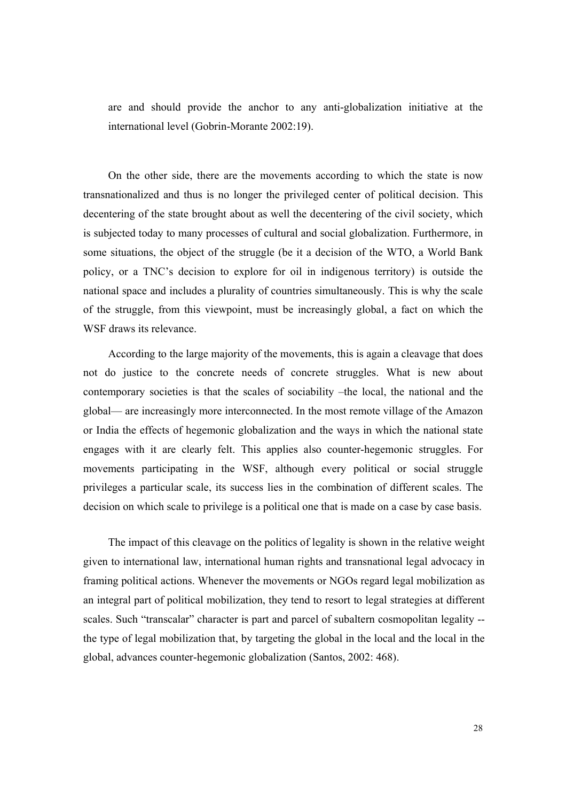are and should provide the anchor to any anti-globalization initiative at the international level (Gobrin-Morante 2002:19).

On the other side, there are the movements according to which the state is now transnationalized and thus is no longer the privileged center of political decision. This decentering of the state brought about as well the decentering of the civil society, which is subjected today to many processes of cultural and social globalization. Furthermore, in some situations, the object of the struggle (be it a decision of the WTO, a World Bank policy, or a TNC's decision to explore for oil in indigenous territory) is outside the national space and includes a plurality of countries simultaneously. This is why the scale of the struggle, from this viewpoint, must be increasingly global, a fact on which the WSF draws its relevance.

According to the large majority of the movements, this is again a cleavage that does not do justice to the concrete needs of concrete struggles. What is new about contemporary societies is that the scales of sociability –the local, the national and the global— are increasingly more interconnected. In the most remote village of the Amazon or India the effects of hegemonic globalization and the ways in which the national state engages with it are clearly felt. This applies also counter-hegemonic struggles. For movements participating in the WSF, although every political or social struggle privileges a particular scale, its success lies in the combination of different scales. The decision on which scale to privilege is a political one that is made on a case by case basis.

The impact of this cleavage on the politics of legality is shown in the relative weight given to international law, international human rights and transnational legal advocacy in framing political actions. Whenever the movements or NGOs regard legal mobilization as an integral part of political mobilization, they tend to resort to legal strategies at different scales. Such "transcalar" character is part and parcel of subaltern cosmopolitan legality - the type of legal mobilization that, by targeting the global in the local and the local in the global, advances counter-hegemonic globalization (Santos, 2002: 468).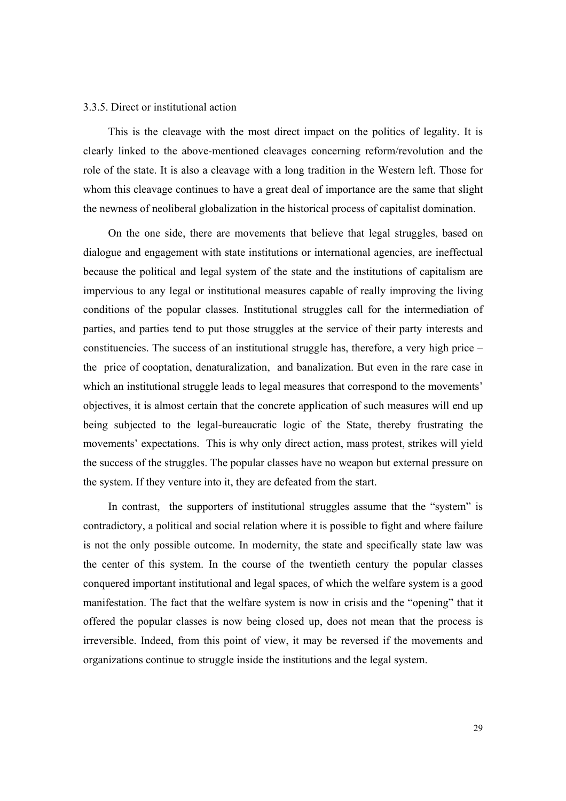#### 3.3.5. Direct or institutional action

This is the cleavage with the most direct impact on the politics of legality. It is clearly linked to the above-mentioned cleavages concerning reform/revolution and the role of the state. It is also a cleavage with a long tradition in the Western left. Those for whom this cleavage continues to have a great deal of importance are the same that slight the newness of neoliberal globalization in the historical process of capitalist domination.

On the one side, there are movements that believe that legal struggles, based on dialogue and engagement with state institutions or international agencies, are ineffectual because the political and legal system of the state and the institutions of capitalism are impervious to any legal or institutional measures capable of really improving the living conditions of the popular classes. Institutional struggles call for the intermediation of parties, and parties tend to put those struggles at the service of their party interests and constituencies. The success of an institutional struggle has, therefore, a very high price – the price of cooptation, denaturalization, and banalization. But even in the rare case in which an institutional struggle leads to legal measures that correspond to the movements' objectives, it is almost certain that the concrete application of such measures will end up being subjected to the legal-bureaucratic logic of the State, thereby frustrating the movements' expectations. This is why only direct action, mass protest, strikes will yield the success of the struggles. The popular classes have no weapon but external pressure on the system. If they venture into it, they are defeated from the start.

In contrast, the supporters of institutional struggles assume that the "system" is contradictory, a political and social relation where it is possible to fight and where failure is not the only possible outcome. In modernity, the state and specifically state law was the center of this system. In the course of the twentieth century the popular classes conquered important institutional and legal spaces, of which the welfare system is a good manifestation. The fact that the welfare system is now in crisis and the "opening" that it offered the popular classes is now being closed up, does not mean that the process is irreversible. Indeed, from this point of view, it may be reversed if the movements and organizations continue to struggle inside the institutions and the legal system.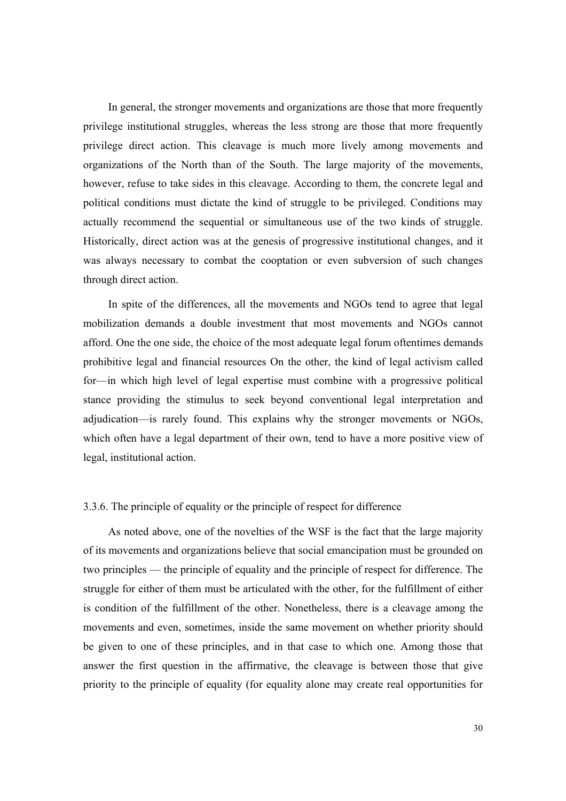In general, the stronger movements and organizations are those that more frequently privilege institutional struggles, whereas the less strong are those that more frequently privilege direct action. This cleavage is much more lively among movements and organizations of the North than of the South. The large majority of the movements, however, refuse to take sides in this cleavage. According to them, the concrete legal and political conditions must dictate the kind of struggle to be privileged. Conditions may actually recommend the sequential or simultaneous use of the two kinds of struggle. Historically, direct action was at the genesis of progressive institutional changes, and it was always necessary to combat the cooptation or even subversion of such changes through direct action.

In spite of the differences, all the movements and NGOs tend to agree that legal mobilization demands a double investment that most movements and NGOs cannot afford. One the one side, the choice of the most adequate legal forum oftentimes demands prohibitive legal and financial resources On the other, the kind of legal activism called for—in which high level of legal expertise must combine with a progressive political stance providing the stimulus to seek beyond conventional legal interpretation and adjudication—is rarely found. This explains why the stronger movements or NGOs, which often have a legal department of their own, tend to have a more positive view of legal, institutional action.

#### 3.3.6. The principle of equality or the principle of respect for difference

As noted above, one of the novelties of the WSF is the fact that the large majority of its movements and organizations believe that social emancipation must be grounded on two principles — the principle of equality and the principle of respect for difference. The struggle for either of them must be articulated with the other, for the fulfillment of either is condition of the fulfillment of the other. Nonetheless, there is a cleavage among the movements and even, sometimes, inside the same movement on whether priority should be given to one of these principles, and in that case to which one. Among those that answer the first question in the affirmative, the cleavage is between those that give priority to the principle of equality (for equality alone may create real opportunities for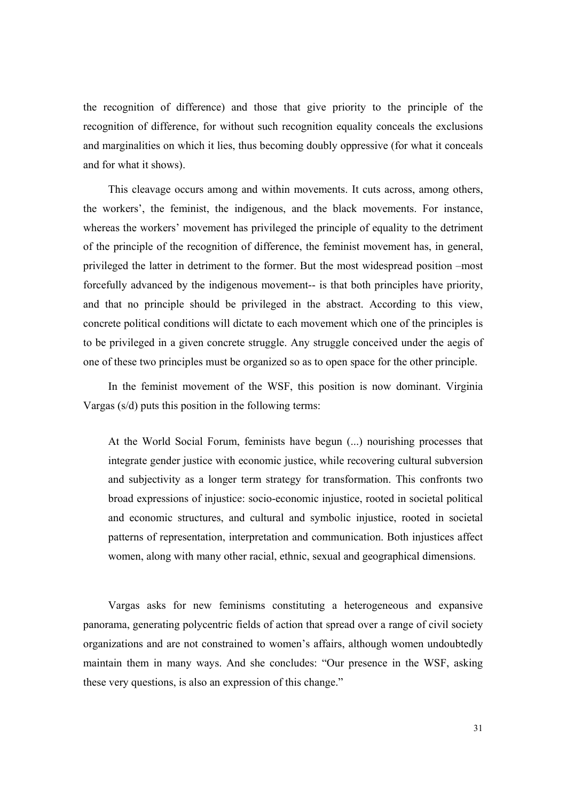the recognition of difference) and those that give priority to the principle of the recognition of difference, for without such recognition equality conceals the exclusions and marginalities on which it lies, thus becoming doubly oppressive (for what it conceals and for what it shows).

This cleavage occurs among and within movements. It cuts across, among others, the workers', the feminist, the indigenous, and the black movements. For instance, whereas the workers' movement has privileged the principle of equality to the detriment of the principle of the recognition of difference, the feminist movement has, in general, privileged the latter in detriment to the former. But the most widespread position –most forcefully advanced by the indigenous movement-- is that both principles have priority, and that no principle should be privileged in the abstract. According to this view, concrete political conditions will dictate to each movement which one of the principles is to be privileged in a given concrete struggle. Any struggle conceived under the aegis of one of these two principles must be organized so as to open space for the other principle.

In the feminist movement of the WSF, this position is now dominant. Virginia Vargas (s/d) puts this position in the following terms:

At the World Social Forum, feminists have begun (...) nourishing processes that integrate gender justice with economic justice, while recovering cultural subversion and subjectivity as a longer term strategy for transformation. This confronts two broad expressions of injustice: socio-economic injustice, rooted in societal political and economic structures, and cultural and symbolic injustice, rooted in societal patterns of representation, interpretation and communication. Both injustices affect women, along with many other racial, ethnic, sexual and geographical dimensions.

Vargas asks for new feminisms constituting a heterogeneous and expansive panorama, generating polycentric fields of action that spread over a range of civil society organizations and are not constrained to women's affairs, although women undoubtedly maintain them in many ways. And she concludes: "Our presence in the WSF, asking these very questions, is also an expression of this change."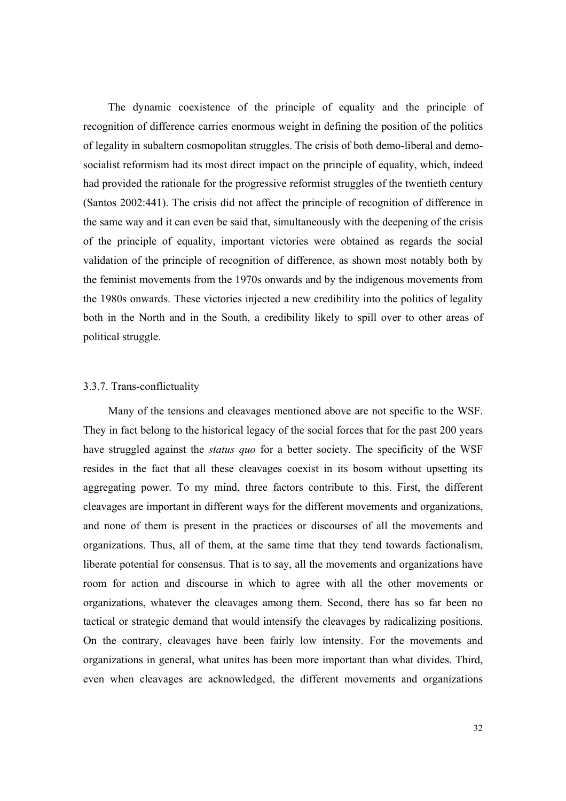The dynamic coexistence of the principle of equality and the principle of recognition of difference carries enormous weight in defining the position of the politics of legality in subaltern cosmopolitan struggles. The crisis of both demo-liberal and demosocialist reformism had its most direct impact on the principle of equality, which, indeed had provided the rationale for the progressive reformist struggles of the twentieth century (Santos 2002:441). The crisis did not affect the principle of recognition of difference in the same way and it can even be said that, simultaneously with the deepening of the crisis of the principle of equality, important victories were obtained as regards the social validation of the principle of recognition of difference, as shown most notably both by the feminist movements from the 1970s onwards and by the indigenous movements from the 1980s onwards. These victories injected a new credibility into the politics of legality both in the North and in the South, a credibility likely to spill over to other areas of political struggle.

#### 3.3.7. Trans-conflictuality

Many of the tensions and cleavages mentioned above are not specific to the WSF. They in fact belong to the historical legacy of the social forces that for the past 200 years have struggled against the *status quo* for a better society. The specificity of the WSF resides in the fact that all these cleavages coexist in its bosom without upsetting its aggregating power. To my mind, three factors contribute to this. First, the different cleavages are important in different ways for the different movements and organizations, and none of them is present in the practices or discourses of all the movements and organizations. Thus, all of them, at the same time that they tend towards factionalism, liberate potential for consensus. That is to say, all the movements and organizations have room for action and discourse in which to agree with all the other movements or organizations, whatever the cleavages among them. Second, there has so far been no tactical or strategic demand that would intensify the cleavages by radicalizing positions. On the contrary, cleavages have been fairly low intensity. For the movements and organizations in general, what unites has been more important than what divides. Third, even when cleavages are acknowledged, the different movements and organizations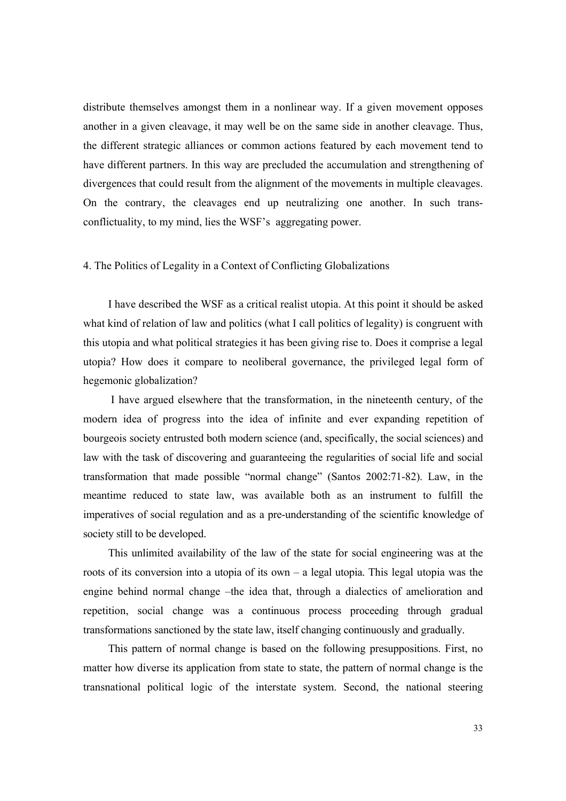distribute themselves amongst them in a nonlinear way. If a given movement opposes another in a given cleavage, it may well be on the same side in another cleavage. Thus, the different strategic alliances or common actions featured by each movement tend to have different partners. In this way are precluded the accumulation and strengthening of divergences that could result from the alignment of the movements in multiple cleavages. On the contrary, the cleavages end up neutralizing one another. In such transconflictuality, to my mind, lies the WSF's aggregating power.

# 4. The Politics of Legality in a Context of Conflicting Globalizations

I have described the WSF as a critical realist utopia. At this point it should be asked what kind of relation of law and politics (what I call politics of legality) is congruent with this utopia and what political strategies it has been giving rise to. Does it comprise a legal utopia? How does it compare to neoliberal governance, the privileged legal form of hegemonic globalization?

 I have argued elsewhere that the transformation, in the nineteenth century, of the modern idea of progress into the idea of infinite and ever expanding repetition of bourgeois society entrusted both modern science (and, specifically, the social sciences) and law with the task of discovering and guaranteeing the regularities of social life and social transformation that made possible "normal change" (Santos 2002:71-82). Law, in the meantime reduced to state law, was available both as an instrument to fulfill the imperatives of social regulation and as a pre-understanding of the scientific knowledge of society still to be developed.

This unlimited availability of the law of the state for social engineering was at the roots of its conversion into a utopia of its own – a legal utopia. This legal utopia was the engine behind normal change –the idea that, through a dialectics of amelioration and repetition, social change was a continuous process proceeding through gradual transformations sanctioned by the state law, itself changing continuously and gradually.

This pattern of normal change is based on the following presuppositions. First, no matter how diverse its application from state to state, the pattern of normal change is the transnational political logic of the interstate system. Second, the national steering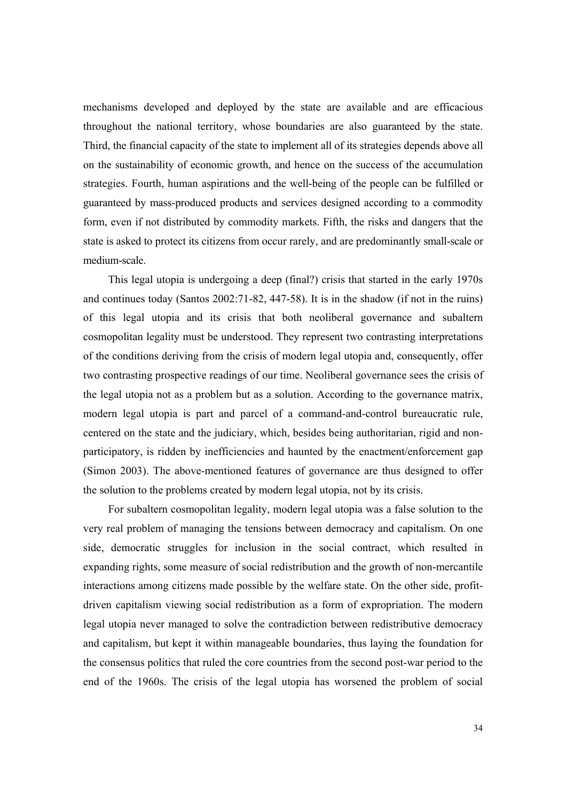mechanisms developed and deployed by the state are available and are efficacious throughout the national territory, whose boundaries are also guaranteed by the state. Third, the financial capacity of the state to implement all of its strategies depends above all on the sustainability of economic growth, and hence on the success of the accumulation strategies. Fourth, human aspirations and the well-being of the people can be fulfilled or guaranteed by mass-produced products and services designed according to a commodity form, even if not distributed by commodity markets. Fifth, the risks and dangers that the state is asked to protect its citizens from occur rarely, and are predominantly small-scale or medium-scale.

This legal utopia is undergoing a deep (final?) crisis that started in the early 1970s and continues today (Santos 2002:71-82, 447-58). It is in the shadow (if not in the ruins) of this legal utopia and its crisis that both neoliberal governance and subaltern cosmopolitan legality must be understood. They represent two contrasting interpretations of the conditions deriving from the crisis of modern legal utopia and, consequently, offer two contrasting prospective readings of our time. Neoliberal governance sees the crisis of the legal utopia not as a problem but as a solution. According to the governance matrix, modern legal utopia is part and parcel of a command-and-control bureaucratic rule, centered on the state and the judiciary, which, besides being authoritarian, rigid and nonparticipatory, is ridden by inefficiencies and haunted by the enactment/enforcement gap (Simon 2003). The above-mentioned features of governance are thus designed to offer the solution to the problems created by modern legal utopia, not by its crisis.

For subaltern cosmopolitan legality, modern legal utopia was a false solution to the very real problem of managing the tensions between democracy and capitalism. On one side, democratic struggles for inclusion in the social contract, which resulted in expanding rights, some measure of social redistribution and the growth of non-mercantile interactions among citizens made possible by the welfare state. On the other side, profitdriven capitalism viewing social redistribution as a form of expropriation. The modern legal utopia never managed to solve the contradiction between redistributive democracy and capitalism, but kept it within manageable boundaries, thus laying the foundation for the consensus politics that ruled the core countries from the second post-war period to the end of the 1960s. The crisis of the legal utopia has worsened the problem of social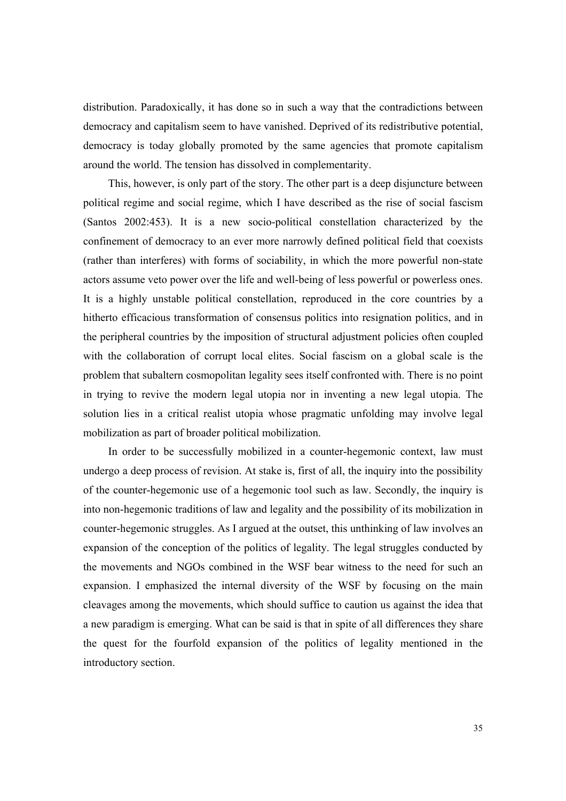distribution. Paradoxically, it has done so in such a way that the contradictions between democracy and capitalism seem to have vanished. Deprived of its redistributive potential, democracy is today globally promoted by the same agencies that promote capitalism around the world. The tension has dissolved in complementarity.

This, however, is only part of the story. The other part is a deep disjuncture between political regime and social regime, which I have described as the rise of social fascism (Santos 2002:453). It is a new socio-political constellation characterized by the confinement of democracy to an ever more narrowly defined political field that coexists (rather than interferes) with forms of sociability, in which the more powerful non-state actors assume veto power over the life and well-being of less powerful or powerless ones. It is a highly unstable political constellation, reproduced in the core countries by a hitherto efficacious transformation of consensus politics into resignation politics, and in the peripheral countries by the imposition of structural adjustment policies often coupled with the collaboration of corrupt local elites. Social fascism on a global scale is the problem that subaltern cosmopolitan legality sees itself confronted with. There is no point in trying to revive the modern legal utopia nor in inventing a new legal utopia. The solution lies in a critical realist utopia whose pragmatic unfolding may involve legal mobilization as part of broader political mobilization.

In order to be successfully mobilized in a counter-hegemonic context, law must undergo a deep process of revision. At stake is, first of all, the inquiry into the possibility of the counter-hegemonic use of a hegemonic tool such as law. Secondly, the inquiry is into non-hegemonic traditions of law and legality and the possibility of its mobilization in counter-hegemonic struggles. As I argued at the outset, this unthinking of law involves an expansion of the conception of the politics of legality. The legal struggles conducted by the movements and NGOs combined in the WSF bear witness to the need for such an expansion. I emphasized the internal diversity of the WSF by focusing on the main cleavages among the movements, which should suffice to caution us against the idea that a new paradigm is emerging. What can be said is that in spite of all differences they share the quest for the fourfold expansion of the politics of legality mentioned in the introductory section.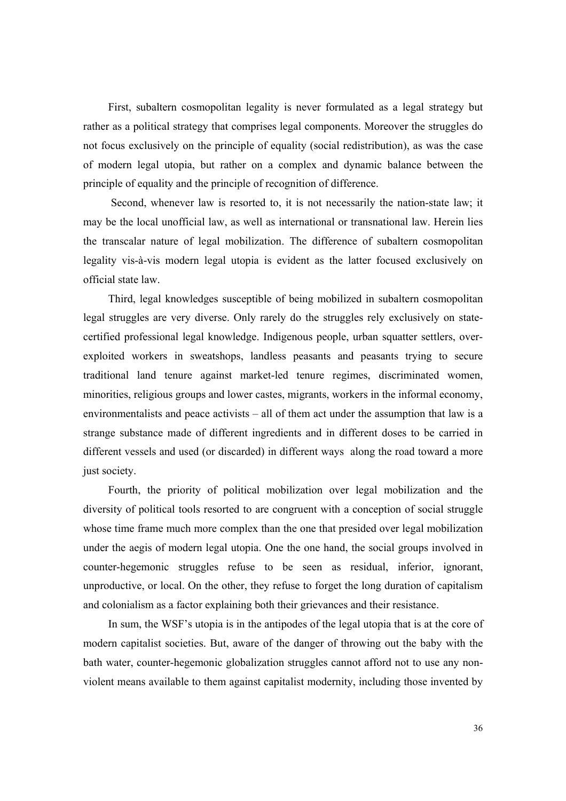First, subaltern cosmopolitan legality is never formulated as a legal strategy but rather as a political strategy that comprises legal components. Moreover the struggles do not focus exclusively on the principle of equality (social redistribution), as was the case of modern legal utopia, but rather on a complex and dynamic balance between the principle of equality and the principle of recognition of difference.

 Second, whenever law is resorted to, it is not necessarily the nation-state law; it may be the local unofficial law, as well as international or transnational law. Herein lies the transcalar nature of legal mobilization. The difference of subaltern cosmopolitan legality vis-à-vis modern legal utopia is evident as the latter focused exclusively on official state law.

Third, legal knowledges susceptible of being mobilized in subaltern cosmopolitan legal struggles are very diverse. Only rarely do the struggles rely exclusively on statecertified professional legal knowledge. Indigenous people, urban squatter settlers, overexploited workers in sweatshops, landless peasants and peasants trying to secure traditional land tenure against market-led tenure regimes, discriminated women, minorities, religious groups and lower castes, migrants, workers in the informal economy, environmentalists and peace activists – all of them act under the assumption that law is a strange substance made of different ingredients and in different doses to be carried in different vessels and used (or discarded) in different ways along the road toward a more just society.

Fourth, the priority of political mobilization over legal mobilization and the diversity of political tools resorted to are congruent with a conception of social struggle whose time frame much more complex than the one that presided over legal mobilization under the aegis of modern legal utopia. One the one hand, the social groups involved in counter-hegemonic struggles refuse to be seen as residual, inferior, ignorant, unproductive, or local. On the other, they refuse to forget the long duration of capitalism and colonialism as a factor explaining both their grievances and their resistance.

In sum, the WSF's utopia is in the antipodes of the legal utopia that is at the core of modern capitalist societies. But, aware of the danger of throwing out the baby with the bath water, counter-hegemonic globalization struggles cannot afford not to use any nonviolent means available to them against capitalist modernity, including those invented by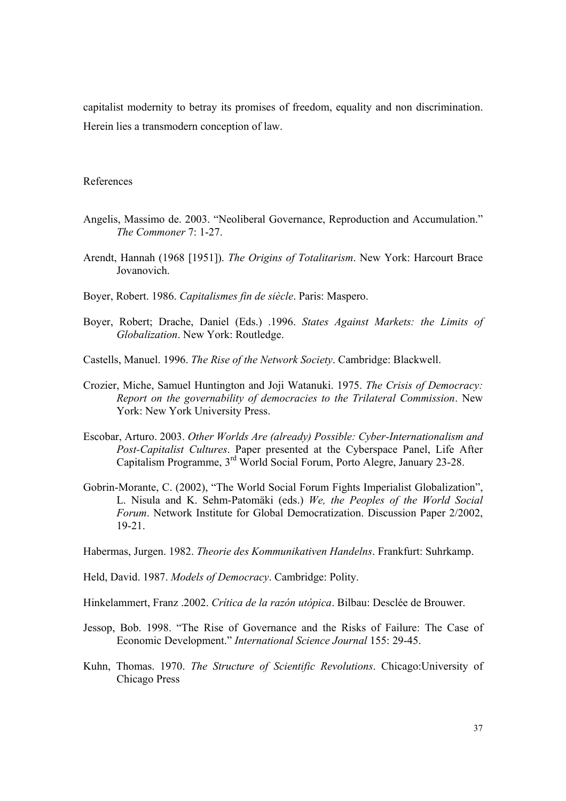capitalist modernity to betray its promises of freedom, equality and non discrimination. Herein lies a transmodern conception of law.

#### References

- Angelis, Massimo de. 2003. "Neoliberal Governance, Reproduction and Accumulation." *The Commoner* 7: 1-27.
- Arendt, Hannah (1968 [1951]). *The Origins of Totalitarism*. New York: Harcourt Brace Jovanovich.
- Boyer, Robert. 1986. *Capitalismes fin de siècle*. Paris: Maspero.
- Boyer, Robert; Drache, Daniel (Eds.) .1996. *States Against Markets: the Limits of Globalization*. New York: Routledge.
- Castells, Manuel. 1996. *The Rise of the Network Society*. Cambridge: Blackwell.
- Crozier, Miche, Samuel Huntington and Joji Watanuki. 1975. *The Crisis of Democracy: Report on the governability of democracies to the Trilateral Commission*. New York: New York University Press.
- Escobar, Arturo. 2003. *Other Worlds Are (already) Possible: Cyber-Internationalism and Post-Capitalist Cultures*. Paper presented at the Cyberspace Panel, Life After Capitalism Programme, 3rd World Social Forum, Porto Alegre, January 23-28.
- Gobrin-Morante, C. (2002), "The World Social Forum Fights Imperialist Globalization", L. Nisula and K. Sehm-Patomäki (eds.) *We, the Peoples of the World Social Forum*. Network Institute for Global Democratization. Discussion Paper 2/2002, 19-21.
- Habermas, Jurgen. 1982. *Theorie des Kommunikativen Handelns*. Frankfurt: Suhrkamp.

Held, David. 1987. *Models of Democracy*. Cambridge: Polity.

Hinkelammert, Franz .2002. *Crítica de la razón utópica*. Bilbau: Desclée de Brouwer.

- Jessop, Bob. 1998. "The Rise of Governance and the Risks of Failure: The Case of Economic Development." *International Science Journal* 155: 29-45.
- Kuhn, Thomas. 1970. *The Structure of Scientific Revolutions*. Chicago:University of Chicago Press